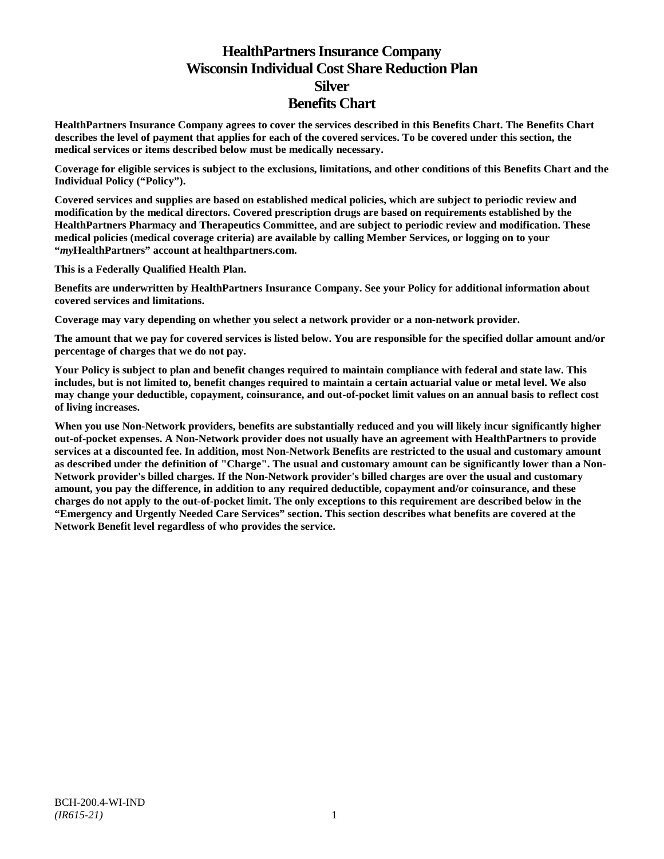# **HealthPartners Insurance Company Wisconsin Individual Cost Share Reduction Plan Silver Benefits Chart**

**HealthPartners Insurance Company agrees to cover the services described in this Benefits Chart. The Benefits Chart describes the level of payment that applies for each of the covered services. To be covered under this section, the medical services or items described below must be medically necessary.**

**Coverage for eligible services is subject to the exclusions, limitations, and other conditions of this Benefits Chart and the Individual Policy ("Policy").**

**Covered services and supplies are based on established medical policies, which are subject to periodic review and modification by the medical directors. Covered prescription drugs are based on requirements established by the HealthPartners Pharmacy and Therapeutics Committee, and are subject to periodic review and modification. These medical policies (medical coverage criteria) are available by calling Member Services, or logging on to your "***my***HealthPartners" account at [healthpartners.com.](http://www.healthpartners.com/)**

**This is a Federally Qualified Health Plan.**

**Benefits are underwritten by HealthPartners Insurance Company. See your Policy for additional information about covered services and limitations.**

**Coverage may vary depending on whether you select a network provider or a non-network provider.**

**The amount that we pay for covered services is listed below. You are responsible for the specified dollar amount and/or percentage of charges that we do not pay.**

**Your Policy is subject to plan and benefit changes required to maintain compliance with federal and state law. This includes, but is not limited to, benefit changes required to maintain a certain actuarial value or metal level. We also may change your deductible, copayment, coinsurance, and out-of-pocket limit values on an annual basis to reflect cost of living increases.**

**When you use Non-Network providers, benefits are substantially reduced and you will likely incur significantly higher out-of-pocket expenses. A Non-Network provider does not usually have an agreement with HealthPartners to provide services at a discounted fee. In addition, most Non-Network Benefits are restricted to the usual and customary amount as described under the definition of "Charge". The usual and customary amount can be significantly lower than a Non-Network provider's billed charges. If the Non-Network provider's billed charges are over the usual and customary amount, you pay the difference, in addition to any required deductible, copayment and/or coinsurance, and these charges do not apply to the out-of-pocket limit. The only exceptions to this requirement are described below in the "Emergency and Urgently Needed Care Services" section. This section describes what benefits are covered at the Network Benefit level regardless of who provides the service.**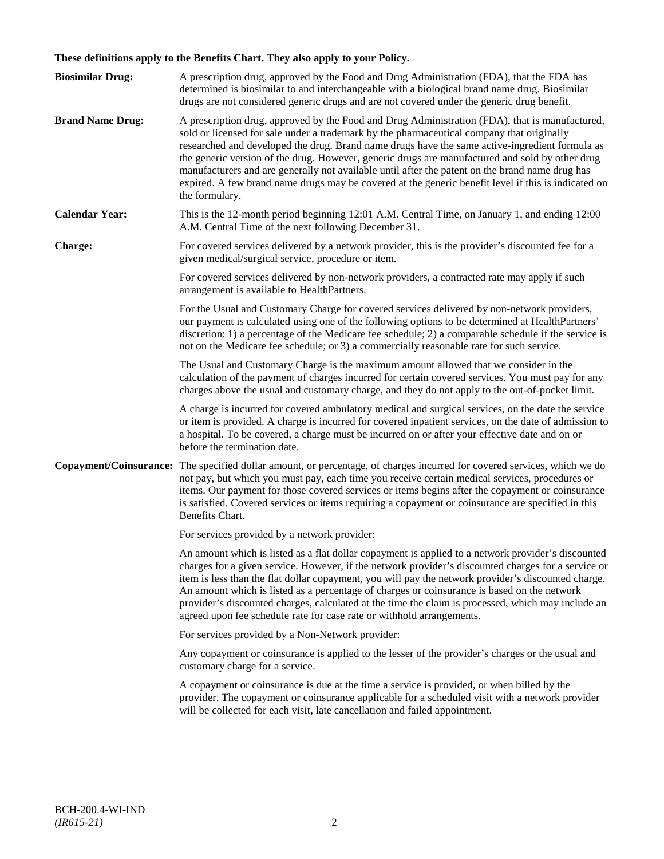## **These definitions apply to the Benefits Chart. They also apply to your Policy.**

| <b>Biosimilar Drug:</b> | A prescription drug, approved by the Food and Drug Administration (FDA), that the FDA has<br>determined is biosimilar to and interchangeable with a biological brand name drug. Biosimilar<br>drugs are not considered generic drugs and are not covered under the generic drug benefit.                                                                                                                                                                                                                                                                                                                                     |
|-------------------------|------------------------------------------------------------------------------------------------------------------------------------------------------------------------------------------------------------------------------------------------------------------------------------------------------------------------------------------------------------------------------------------------------------------------------------------------------------------------------------------------------------------------------------------------------------------------------------------------------------------------------|
| <b>Brand Name Drug:</b> | A prescription drug, approved by the Food and Drug Administration (FDA), that is manufactured,<br>sold or licensed for sale under a trademark by the pharmaceutical company that originally<br>researched and developed the drug. Brand name drugs have the same active-ingredient formula as<br>the generic version of the drug. However, generic drugs are manufactured and sold by other drug<br>manufacturers and are generally not available until after the patent on the brand name drug has<br>expired. A few brand name drugs may be covered at the generic benefit level if this is indicated on<br>the formulary. |
| <b>Calendar Year:</b>   | This is the 12-month period beginning 12:01 A.M. Central Time, on January 1, and ending 12:00<br>A.M. Central Time of the next following December 31.                                                                                                                                                                                                                                                                                                                                                                                                                                                                        |
| Charge:                 | For covered services delivered by a network provider, this is the provider's discounted fee for a<br>given medical/surgical service, procedure or item.                                                                                                                                                                                                                                                                                                                                                                                                                                                                      |
|                         | For covered services delivered by non-network providers, a contracted rate may apply if such<br>arrangement is available to HealthPartners.                                                                                                                                                                                                                                                                                                                                                                                                                                                                                  |
|                         | For the Usual and Customary Charge for covered services delivered by non-network providers,<br>our payment is calculated using one of the following options to be determined at HealthPartners'<br>discretion: 1) a percentage of the Medicare fee schedule; 2) a comparable schedule if the service is<br>not on the Medicare fee schedule; or 3) a commercially reasonable rate for such service.                                                                                                                                                                                                                          |
|                         | The Usual and Customary Charge is the maximum amount allowed that we consider in the<br>calculation of the payment of charges incurred for certain covered services. You must pay for any<br>charges above the usual and customary charge, and they do not apply to the out-of-pocket limit.                                                                                                                                                                                                                                                                                                                                 |
|                         | A charge is incurred for covered ambulatory medical and surgical services, on the date the service<br>or item is provided. A charge is incurred for covered inpatient services, on the date of admission to<br>a hospital. To be covered, a charge must be incurred on or after your effective date and on or<br>before the termination date.                                                                                                                                                                                                                                                                                |
|                         | Copayment/Coinsurance: The specified dollar amount, or percentage, of charges incurred for covered services, which we do<br>not pay, but which you must pay, each time you receive certain medical services, procedures or<br>items. Our payment for those covered services or items begins after the copayment or coinsurance<br>is satisfied. Covered services or items requiring a copayment or coinsurance are specified in this<br>Benefits Chart.                                                                                                                                                                      |
|                         | For services provided by a network provider:                                                                                                                                                                                                                                                                                                                                                                                                                                                                                                                                                                                 |
|                         | An amount which is listed as a flat dollar copayment is applied to a network provider's discounted<br>charges for a given service. However, if the network provider's discounted charges for a service or<br>item is less than the flat dollar copayment, you will pay the network provider's discounted charge.<br>An amount which is listed as a percentage of charges or coinsurance is based on the network<br>provider's discounted charges, calculated at the time the claim is processed, which may include an<br>agreed upon fee schedule rate for case rate or withhold arrangements.                               |
|                         | For services provided by a Non-Network provider:                                                                                                                                                                                                                                                                                                                                                                                                                                                                                                                                                                             |
|                         | Any copayment or coinsurance is applied to the lesser of the provider's charges or the usual and<br>customary charge for a service.                                                                                                                                                                                                                                                                                                                                                                                                                                                                                          |
|                         | A copayment or coinsurance is due at the time a service is provided, or when billed by the<br>provider. The copayment or coinsurance applicable for a scheduled visit with a network provider<br>will be collected for each visit, late cancellation and failed appointment.                                                                                                                                                                                                                                                                                                                                                 |
|                         |                                                                                                                                                                                                                                                                                                                                                                                                                                                                                                                                                                                                                              |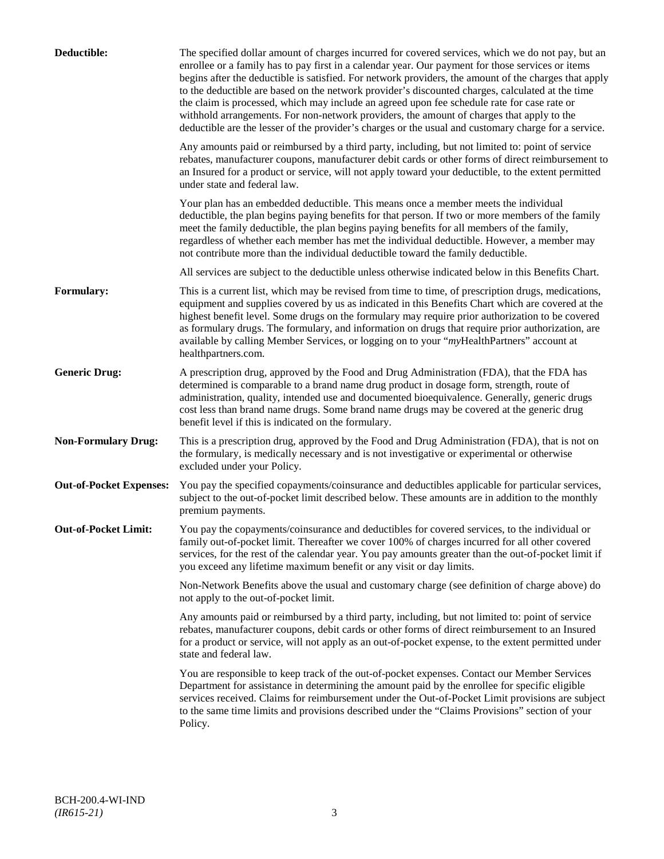| Deductible:                    | The specified dollar amount of charges incurred for covered services, which we do not pay, but an<br>enrollee or a family has to pay first in a calendar year. Our payment for those services or items<br>begins after the deductible is satisfied. For network providers, the amount of the charges that apply<br>to the deductible are based on the network provider's discounted charges, calculated at the time<br>the claim is processed, which may include an agreed upon fee schedule rate for case rate or<br>withhold arrangements. For non-network providers, the amount of charges that apply to the<br>deductible are the lesser of the provider's charges or the usual and customary charge for a service. |
|--------------------------------|-------------------------------------------------------------------------------------------------------------------------------------------------------------------------------------------------------------------------------------------------------------------------------------------------------------------------------------------------------------------------------------------------------------------------------------------------------------------------------------------------------------------------------------------------------------------------------------------------------------------------------------------------------------------------------------------------------------------------|
|                                | Any amounts paid or reimbursed by a third party, including, but not limited to: point of service<br>rebates, manufacturer coupons, manufacturer debit cards or other forms of direct reimbursement to<br>an Insured for a product or service, will not apply toward your deductible, to the extent permitted<br>under state and federal law.                                                                                                                                                                                                                                                                                                                                                                            |
|                                | Your plan has an embedded deductible. This means once a member meets the individual<br>deductible, the plan begins paying benefits for that person. If two or more members of the family<br>meet the family deductible, the plan begins paying benefits for all members of the family,<br>regardless of whether each member has met the individual deductible. However, a member may<br>not contribute more than the individual deductible toward the family deductible.                                                                                                                                                                                                                                                |
|                                | All services are subject to the deductible unless otherwise indicated below in this Benefits Chart.                                                                                                                                                                                                                                                                                                                                                                                                                                                                                                                                                                                                                     |
| Formulary:                     | This is a current list, which may be revised from time to time, of prescription drugs, medications,<br>equipment and supplies covered by us as indicated in this Benefits Chart which are covered at the<br>highest benefit level. Some drugs on the formulary may require prior authorization to be covered<br>as formulary drugs. The formulary, and information on drugs that require prior authorization, are<br>available by calling Member Services, or logging on to your "myHealthPartners" account at<br>healthpartners.com.                                                                                                                                                                                   |
| <b>Generic Drug:</b>           | A prescription drug, approved by the Food and Drug Administration (FDA), that the FDA has<br>determined is comparable to a brand name drug product in dosage form, strength, route of<br>administration, quality, intended use and documented bioequivalence. Generally, generic drugs<br>cost less than brand name drugs. Some brand name drugs may be covered at the generic drug<br>benefit level if this is indicated on the formulary.                                                                                                                                                                                                                                                                             |
| <b>Non-Formulary Drug:</b>     | This is a prescription drug, approved by the Food and Drug Administration (FDA), that is not on<br>the formulary, is medically necessary and is not investigative or experimental or otherwise<br>excluded under your Policy.                                                                                                                                                                                                                                                                                                                                                                                                                                                                                           |
| <b>Out-of-Pocket Expenses:</b> | You pay the specified copayments/coinsurance and deductibles applicable for particular services,<br>subject to the out-of-pocket limit described below. These amounts are in addition to the monthly<br>premium payments.                                                                                                                                                                                                                                                                                                                                                                                                                                                                                               |
| <b>Out-of-Pocket Limit:</b>    | You pay the copayments/coinsurance and deductibles for covered services, to the individual or<br>family out-of-pocket limit. Thereafter we cover 100% of charges incurred for all other covered<br>services, for the rest of the calendar year. You pay amounts greater than the out-of-pocket limit if<br>you exceed any lifetime maximum benefit or any visit or day limits.                                                                                                                                                                                                                                                                                                                                          |
|                                | Non-Network Benefits above the usual and customary charge (see definition of charge above) do<br>not apply to the out-of-pocket limit.                                                                                                                                                                                                                                                                                                                                                                                                                                                                                                                                                                                  |
|                                | Any amounts paid or reimbursed by a third party, including, but not limited to: point of service<br>rebates, manufacturer coupons, debit cards or other forms of direct reimbursement to an Insured<br>for a product or service, will not apply as an out-of-pocket expense, to the extent permitted under<br>state and federal law.                                                                                                                                                                                                                                                                                                                                                                                    |
|                                | You are responsible to keep track of the out-of-pocket expenses. Contact our Member Services<br>Department for assistance in determining the amount paid by the enrollee for specific eligible<br>services received. Claims for reimbursement under the Out-of-Pocket Limit provisions are subject<br>to the same time limits and provisions described under the "Claims Provisions" section of your<br>Policy.                                                                                                                                                                                                                                                                                                         |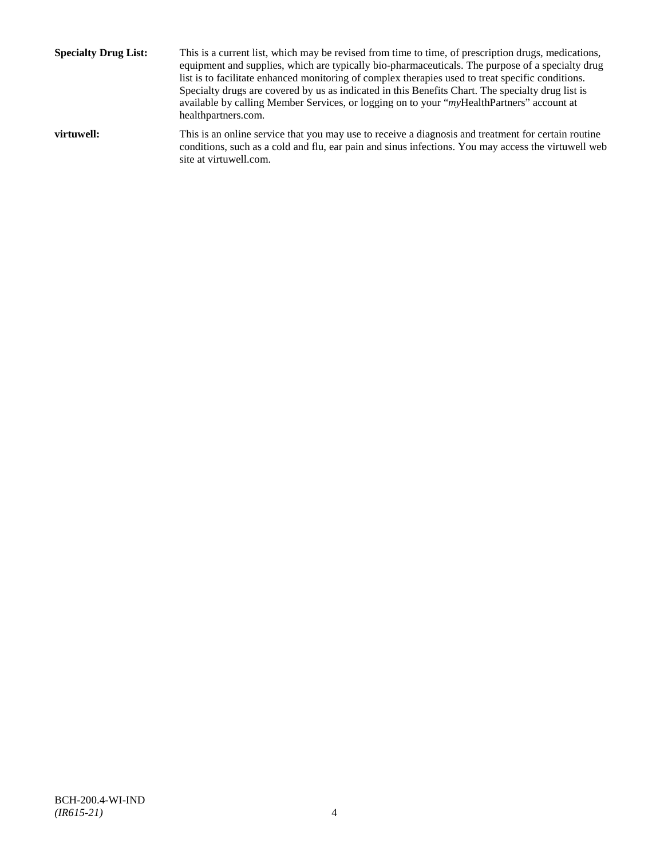**Specialty Drug List:** This is a current list, which may be revised from time to time, of prescription drugs, medications, equipment and supplies, which are typically bio-pharmaceuticals. The purpose of a specialty drug list is to facilitate enhanced monitoring of complex therapies used to treat specific conditions. Specialty drugs are covered by us as indicated in this Benefits Chart. The specialty drug list is available by calling Member Services, or logging on to your "*my*HealthPartners" account at [healthpartners.com.](http://www.healthpartners.com/) **virtuwell:** This is an online service that you may use to receive a diagnosis and treatment for certain routine conditions, such as a cold and flu, ear pain and sinus infections. You may access the virtuwell web

site a[t virtuwell.com.](http://www.virtuwell.com/)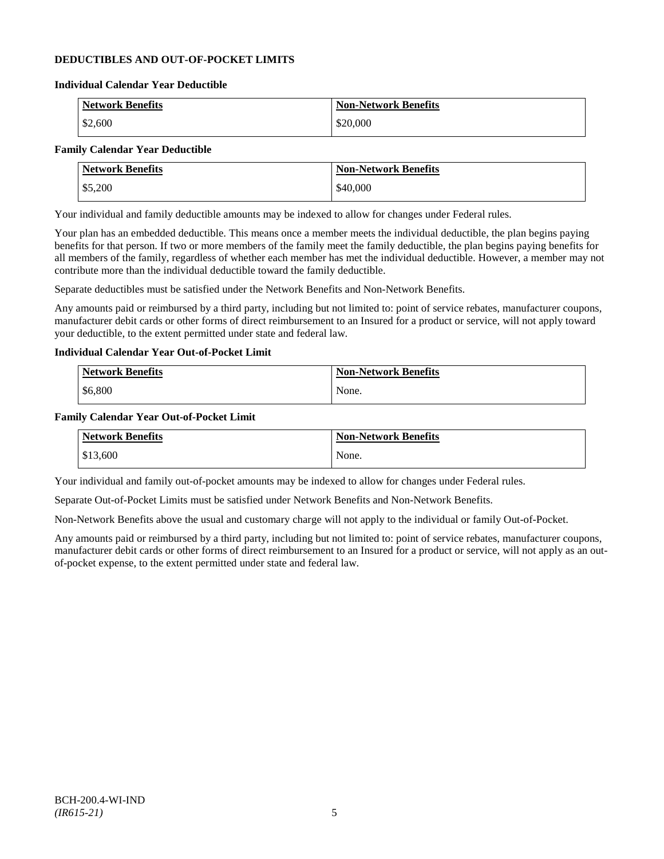## **DEDUCTIBLES AND OUT-OF-POCKET LIMITS**

#### **Individual Calendar Year Deductible**

| <b>Network Benefits</b> | <b>Non-Network Benefits</b> |
|-------------------------|-----------------------------|
| \$2,600                 | \$20,000                    |

## **Family Calendar Year Deductible**

| <b>Network Benefits</b> | <b>Non-Network Benefits</b> |
|-------------------------|-----------------------------|
| \$5,200                 | \$40,000                    |

Your individual and family deductible amounts may be indexed to allow for changes under Federal rules.

Your plan has an embedded deductible. This means once a member meets the individual deductible, the plan begins paying benefits for that person. If two or more members of the family meet the family deductible, the plan begins paying benefits for all members of the family, regardless of whether each member has met the individual deductible. However, a member may not contribute more than the individual deductible toward the family deductible.

Separate deductibles must be satisfied under the Network Benefits and Non-Network Benefits.

Any amounts paid or reimbursed by a third party, including but not limited to: point of service rebates, manufacturer coupons, manufacturer debit cards or other forms of direct reimbursement to an Insured for a product or service, will not apply toward your deductible, to the extent permitted under state and federal law.

## **Individual Calendar Year Out-of-Pocket Limit**

| <b>Network Benefits</b> | <b>Non-Network Benefits</b> |
|-------------------------|-----------------------------|
| \$6,800                 | None.                       |

#### **Family Calendar Year Out-of-Pocket Limit**

| <b>Network Benefits</b> | <b>Non-Network Benefits</b> |
|-------------------------|-----------------------------|
| \$13,600                | None.                       |

Your individual and family out-of-pocket amounts may be indexed to allow for changes under Federal rules.

Separate Out-of-Pocket Limits must be satisfied under Network Benefits and Non-Network Benefits.

Non-Network Benefits above the usual and customary charge will not apply to the individual or family Out-of-Pocket.

Any amounts paid or reimbursed by a third party, including but not limited to: point of service rebates, manufacturer coupons, manufacturer debit cards or other forms of direct reimbursement to an Insured for a product or service, will not apply as an outof-pocket expense, to the extent permitted under state and federal law.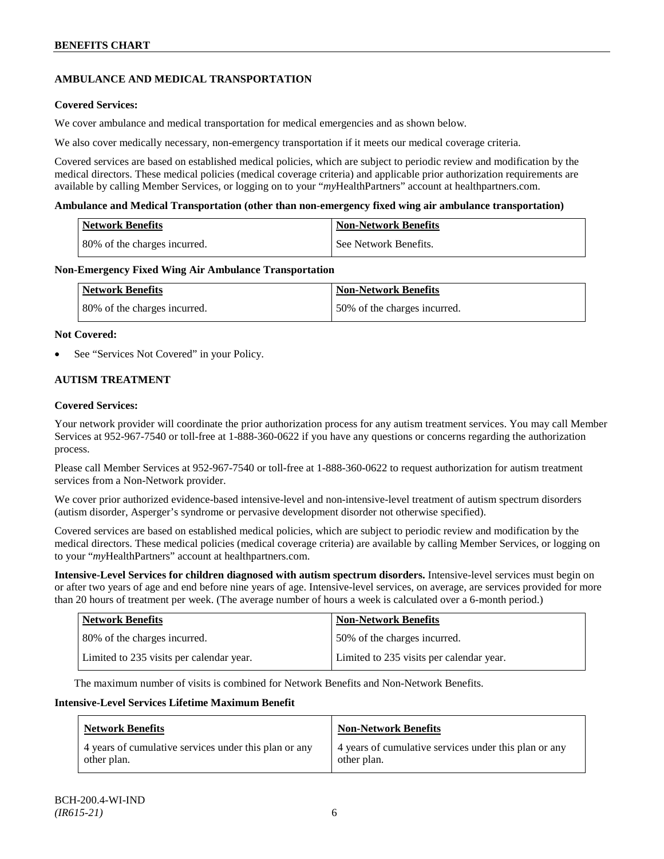## **AMBULANCE AND MEDICAL TRANSPORTATION**

## **Covered Services:**

We cover ambulance and medical transportation for medical emergencies and as shown below.

We also cover medically necessary, non-emergency transportation if it meets our medical coverage criteria.

Covered services are based on established medical policies, which are subject to periodic review and modification by the medical directors. These medical policies (medical coverage criteria) and applicable prior authorization requirements are available by calling Member Services, or logging on to your "*my*HealthPartners" account a[t healthpartners.com.](http://www.healthpartners.com/)

#### **Ambulance and Medical Transportation (other than non-emergency fixed wing air ambulance transportation)**

| Network Benefits             | <b>Non-Network Benefits</b> |
|------------------------------|-----------------------------|
| 80% of the charges incurred. | l See Network Benefits.     |

#### **Non-Emergency Fixed Wing Air Ambulance Transportation**

| <b>Network Benefits</b>      | <b>Non-Network Benefits</b>  |
|------------------------------|------------------------------|
| 80% of the charges incurred. | 50% of the charges incurred. |

#### **Not Covered:**

See "Services Not Covered" in your Policy.

## **AUTISM TREATMENT**

#### **Covered Services:**

Your network provider will coordinate the prior authorization process for any autism treatment services. You may call Member Services at 952-967-7540 or toll-free at 1-888-360-0622 if you have any questions or concerns regarding the authorization process.

Please call Member Services at 952-967-7540 or toll-free at 1-888-360-0622 to request authorization for autism treatment services from a Non-Network provider.

We cover prior authorized evidence-based intensive-level and non-intensive-level treatment of autism spectrum disorders (autism disorder, Asperger's syndrome or pervasive development disorder not otherwise specified).

Covered services are based on established medical policies, which are subject to periodic review and modification by the medical directors. These medical policies (medical coverage criteria) are available by calling Member Services, or logging on to your "*my*HealthPartners" account at [healthpartners.com.](http://www.healthpartners.com/)

**Intensive-Level Services for children diagnosed with autism spectrum disorders.** Intensive-level services must begin on or after two years of age and end before nine years of age. Intensive-level services, on average, are services provided for more than 20 hours of treatment per week. (The average number of hours a week is calculated over a 6-month period.)

| <b>Network Benefits</b>                  | <b>Non-Network Benefits</b>              |
|------------------------------------------|------------------------------------------|
| 80% of the charges incurred.             | 50% of the charges incurred.             |
| Limited to 235 visits per calendar year. | Limited to 235 visits per calendar year. |

The maximum number of visits is combined for Network Benefits and Non-Network Benefits.

#### **Intensive-Level Services Lifetime Maximum Benefit**

| <b>Network Benefits</b>                               | <b>Non-Network Benefits</b>                           |
|-------------------------------------------------------|-------------------------------------------------------|
| 4 years of cumulative services under this plan or any | 4 years of cumulative services under this plan or any |
| other plan.                                           | other plan.                                           |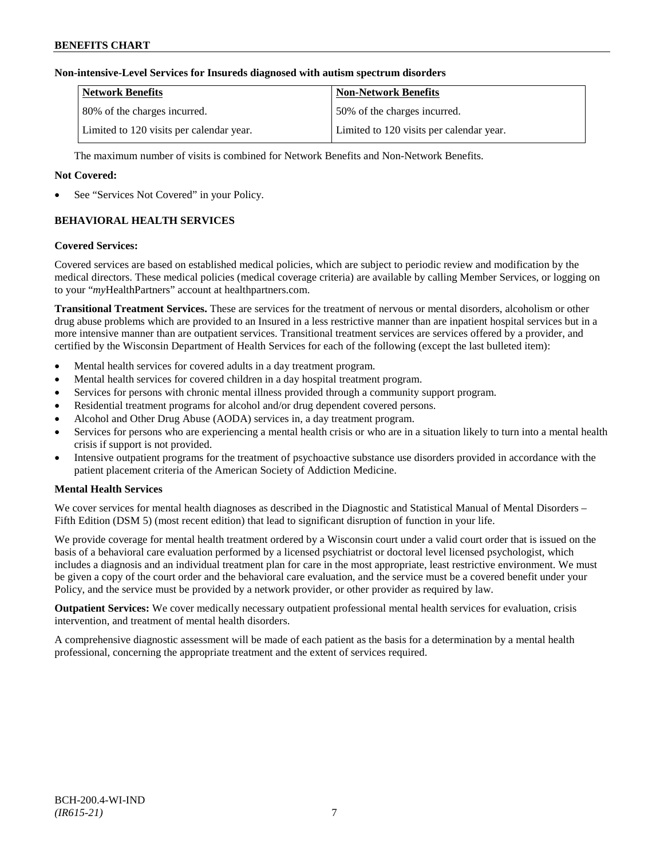## **Non-intensive-Level Services for Insureds diagnosed with autism spectrum disorders**

| <b>Network Benefits</b>                  | <b>Non-Network Benefits</b>              |
|------------------------------------------|------------------------------------------|
| 80% of the charges incurred.             | 150% of the charges incurred.            |
| Limited to 120 visits per calendar year. | Limited to 120 visits per calendar year. |

The maximum number of visits is combined for Network Benefits and Non-Network Benefits.

## **Not Covered:**

See "Services Not Covered" in your Policy.

## **BEHAVIORAL HEALTH SERVICES**

#### **Covered Services:**

Covered services are based on established medical policies, which are subject to periodic review and modification by the medical directors. These medical policies (medical coverage criteria) are available by calling Member Services, or logging on to your "*my*HealthPartners" account at [healthpartners.com.](http://www.healthpartners.com/)

**Transitional Treatment Services.** These are services for the treatment of nervous or mental disorders, alcoholism or other drug abuse problems which are provided to an Insured in a less restrictive manner than are inpatient hospital services but in a more intensive manner than are outpatient services. Transitional treatment services are services offered by a provider, and certified by the Wisconsin Department of Health Services for each of the following (except the last bulleted item):

- Mental health services for covered adults in a day treatment program.
- Mental health services for covered children in a day hospital treatment program.
- Services for persons with chronic mental illness provided through a community support program.
- Residential treatment programs for alcohol and/or drug dependent covered persons.
- Alcohol and Other Drug Abuse (AODA) services in, a day treatment program.
- Services for persons who are experiencing a mental health crisis or who are in a situation likely to turn into a mental health crisis if support is not provided.
- Intensive outpatient programs for the treatment of psychoactive substance use disorders provided in accordance with the patient placement criteria of the American Society of Addiction Medicine.

## **Mental Health Services**

We cover services for mental health diagnoses as described in the Diagnostic and Statistical Manual of Mental Disorders – Fifth Edition (DSM 5) (most recent edition) that lead to significant disruption of function in your life.

We provide coverage for mental health treatment ordered by a Wisconsin court under a valid court order that is issued on the basis of a behavioral care evaluation performed by a licensed psychiatrist or doctoral level licensed psychologist, which includes a diagnosis and an individual treatment plan for care in the most appropriate, least restrictive environment. We must be given a copy of the court order and the behavioral care evaluation, and the service must be a covered benefit under your Policy, and the service must be provided by a network provider, or other provider as required by law.

**Outpatient Services:** We cover medically necessary outpatient professional mental health services for evaluation, crisis intervention, and treatment of mental health disorders.

A comprehensive diagnostic assessment will be made of each patient as the basis for a determination by a mental health professional, concerning the appropriate treatment and the extent of services required.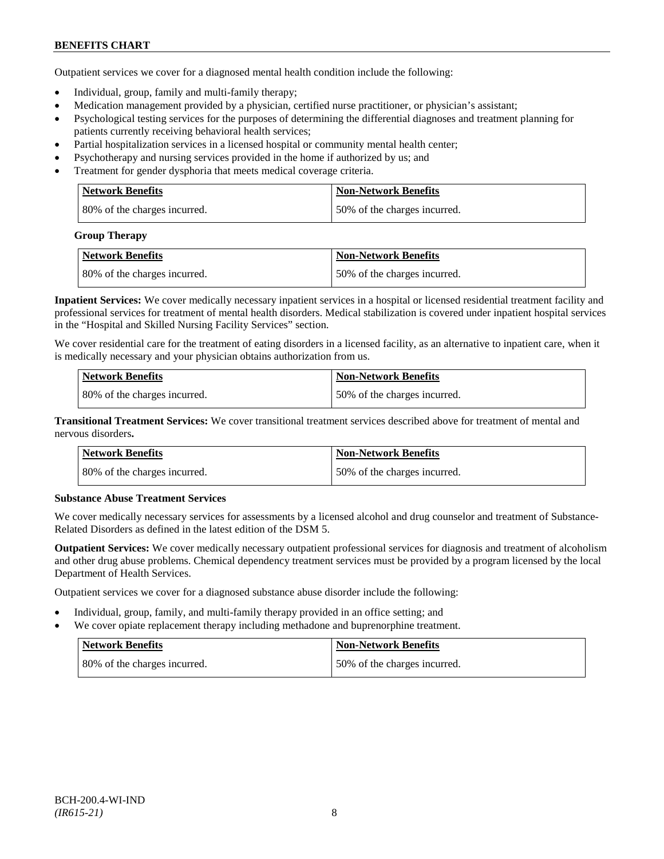Outpatient services we cover for a diagnosed mental health condition include the following:

- Individual, group, family and multi-family therapy;
- Medication management provided by a physician, certified nurse practitioner, or physician's assistant;
- Psychological testing services for the purposes of determining the differential diagnoses and treatment planning for patients currently receiving behavioral health services;
- Partial hospitalization services in a licensed hospital or community mental health center;
- Psychotherapy and nursing services provided in the home if authorized by us; and
- Treatment for gender dysphoria that meets medical coverage criteria.

| <b>Network Benefits</b>       | <b>Non-Network Benefits</b>  |
|-------------------------------|------------------------------|
| 180% of the charges incurred. | 50% of the charges incurred. |

#### **Group Therapy**

| <b>Network Benefits</b>      | <b>Non-Network Benefits</b>  |
|------------------------------|------------------------------|
| 80% of the charges incurred. | 50% of the charges incurred. |

**Inpatient Services:** We cover medically necessary inpatient services in a hospital or licensed residential treatment facility and professional services for treatment of mental health disorders. Medical stabilization is covered under inpatient hospital services in the "Hospital and Skilled Nursing Facility Services" section.

We cover residential care for the treatment of eating disorders in a licensed facility, as an alternative to inpatient care, when it is medically necessary and your physician obtains authorization from us.

| <b>Network Benefits</b>      | <b>Non-Network Benefits</b>  |
|------------------------------|------------------------------|
| 80% of the charges incurred. | 50% of the charges incurred. |

**Transitional Treatment Services:** We cover transitional treatment services described above for treatment of mental and nervous disorders**.**

| <b>Network Benefits</b>      | <b>Non-Network Benefits</b>   |
|------------------------------|-------------------------------|
| 80% of the charges incurred. | 150% of the charges incurred. |

## **Substance Abuse Treatment Services**

We cover medically necessary services for assessments by a licensed alcohol and drug counselor and treatment of Substance-Related Disorders as defined in the latest edition of the DSM 5.

**Outpatient Services:** We cover medically necessary outpatient professional services for diagnosis and treatment of alcoholism and other drug abuse problems. Chemical dependency treatment services must be provided by a program licensed by the local Department of Health Services.

Outpatient services we cover for a diagnosed substance abuse disorder include the following:

- Individual, group, family, and multi-family therapy provided in an office setting; and
- We cover opiate replacement therapy including methadone and buprenorphine treatment.

| Network Benefits             | Non-Network Benefits         |
|------------------------------|------------------------------|
| 80% of the charges incurred. | 50% of the charges incurred. |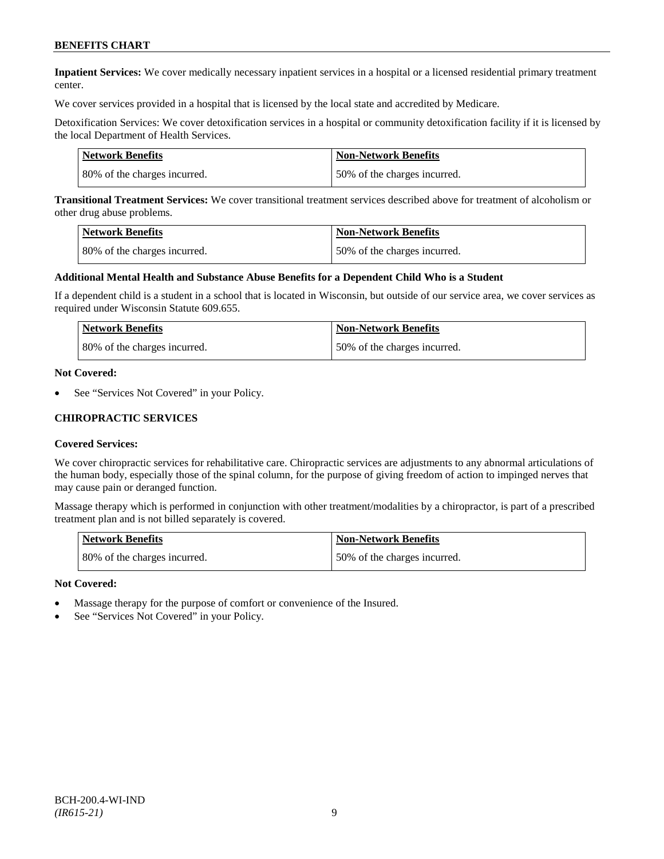**Inpatient Services:** We cover medically necessary inpatient services in a hospital or a licensed residential primary treatment center.

We cover services provided in a hospital that is licensed by the local state and accredited by Medicare.

Detoxification Services: We cover detoxification services in a hospital or community detoxification facility if it is licensed by the local Department of Health Services.

| Network Benefits             | <b>Non-Network Benefits</b>  |
|------------------------------|------------------------------|
| 80% of the charges incurred. | 50% of the charges incurred. |

**Transitional Treatment Services:** We cover transitional treatment services described above for treatment of alcoholism or other drug abuse problems.

| <b>Network Benefits</b>      | <b>Non-Network Benefits</b>  |
|------------------------------|------------------------------|
| 80% of the charges incurred. | 50% of the charges incurred. |

#### **Additional Mental Health and Substance Abuse Benefits for a Dependent Child Who is a Student**

If a dependent child is a student in a school that is located in Wisconsin, but outside of our service area, we cover services as required under Wisconsin Statute 609.655.

| <b>Network Benefits</b>      | <b>Non-Network Benefits</b>  |
|------------------------------|------------------------------|
| 80% of the charges incurred. | 50% of the charges incurred. |

#### **Not Covered:**

See "Services Not Covered" in your Policy.

#### **CHIROPRACTIC SERVICES**

#### **Covered Services:**

We cover chiropractic services for rehabilitative care. Chiropractic services are adjustments to any abnormal articulations of the human body, especially those of the spinal column, for the purpose of giving freedom of action to impinged nerves that may cause pain or deranged function.

Massage therapy which is performed in conjunction with other treatment/modalities by a chiropractor, is part of a prescribed treatment plan and is not billed separately is covered.

| <b>Network Benefits</b>      | <b>Non-Network Benefits</b>   |
|------------------------------|-------------------------------|
| 80% of the charges incurred. | 150% of the charges incurred. |

#### **Not Covered:**

- Massage therapy for the purpose of comfort or convenience of the Insured.
- See "Services Not Covered" in your Policy.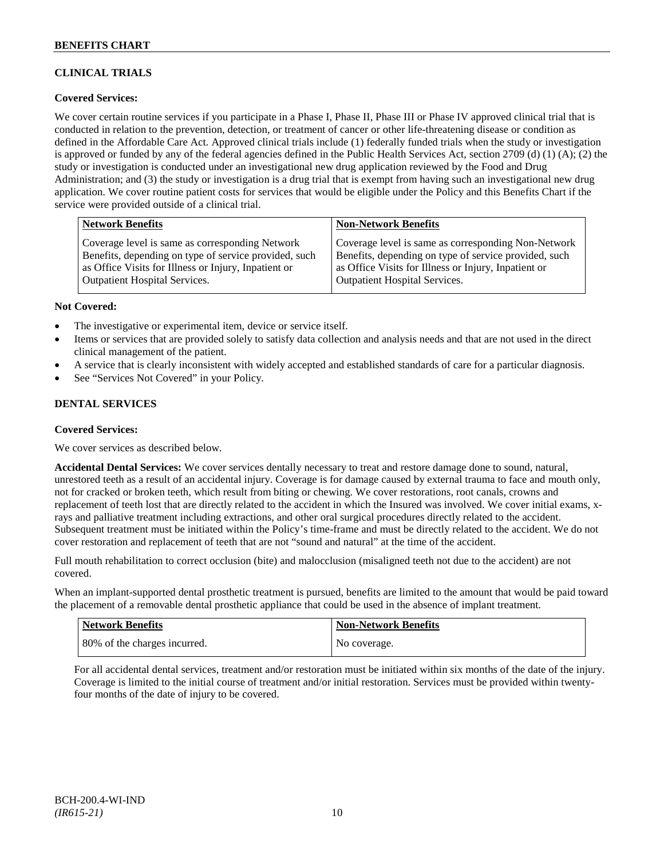## **CLINICAL TRIALS**

## **Covered Services:**

We cover certain routine services if you participate in a Phase I, Phase II, Phase III or Phase IV approved clinical trial that is conducted in relation to the prevention, detection, or treatment of cancer or other life-threatening disease or condition as defined in the Affordable Care Act. Approved clinical trials include (1) federally funded trials when the study or investigation is approved or funded by any of the federal agencies defined in the Public Health Services Act, section 2709 (d) (1) (A); (2) the study or investigation is conducted under an investigational new drug application reviewed by the Food and Drug Administration; and (3) the study or investigation is a drug trial that is exempt from having such an investigational new drug application. We cover routine patient costs for services that would be eligible under the Policy and this Benefits Chart if the service were provided outside of a clinical trial.

| <b>Network Benefits</b>                               | <b>Non-Network Benefits</b>                           |
|-------------------------------------------------------|-------------------------------------------------------|
| Coverage level is same as corresponding Network       | Coverage level is same as corresponding Non-Network   |
| Benefits, depending on type of service provided, such | Benefits, depending on type of service provided, such |
| as Office Visits for Illness or Injury, Inpatient or  | as Office Visits for Illness or Injury, Inpatient or  |
| Outpatient Hospital Services.                         | <b>Outpatient Hospital Services.</b>                  |

#### **Not Covered:**

- The investigative or experimental item, device or service itself.
- Items or services that are provided solely to satisfy data collection and analysis needs and that are not used in the direct clinical management of the patient.
- A service that is clearly inconsistent with widely accepted and established standards of care for a particular diagnosis.
- See "Services Not Covered" in your Policy.

## **DENTAL SERVICES**

#### **Covered Services:**

We cover services as described below.

**Accidental Dental Services:** We cover services dentally necessary to treat and restore damage done to sound, natural, unrestored teeth as a result of an accidental injury. Coverage is for damage caused by external trauma to face and mouth only, not for cracked or broken teeth, which result from biting or chewing. We cover restorations, root canals, crowns and replacement of teeth lost that are directly related to the accident in which the Insured was involved. We cover initial exams, xrays and palliative treatment including extractions, and other oral surgical procedures directly related to the accident. Subsequent treatment must be initiated within the Policy's time-frame and must be directly related to the accident. We do not cover restoration and replacement of teeth that are not "sound and natural" at the time of the accident.

Full mouth rehabilitation to correct occlusion (bite) and malocclusion (misaligned teeth not due to the accident) are not covered.

When an implant-supported dental prosthetic treatment is pursued, benefits are limited to the amount that would be paid toward the placement of a removable dental prosthetic appliance that could be used in the absence of implant treatment.

| Network Benefits             | <b>Non-Network Benefits</b> |
|------------------------------|-----------------------------|
| 80% of the charges incurred. | No coverage.                |

For all accidental dental services, treatment and/or restoration must be initiated within six months of the date of the injury. Coverage is limited to the initial course of treatment and/or initial restoration. Services must be provided within twentyfour months of the date of injury to be covered.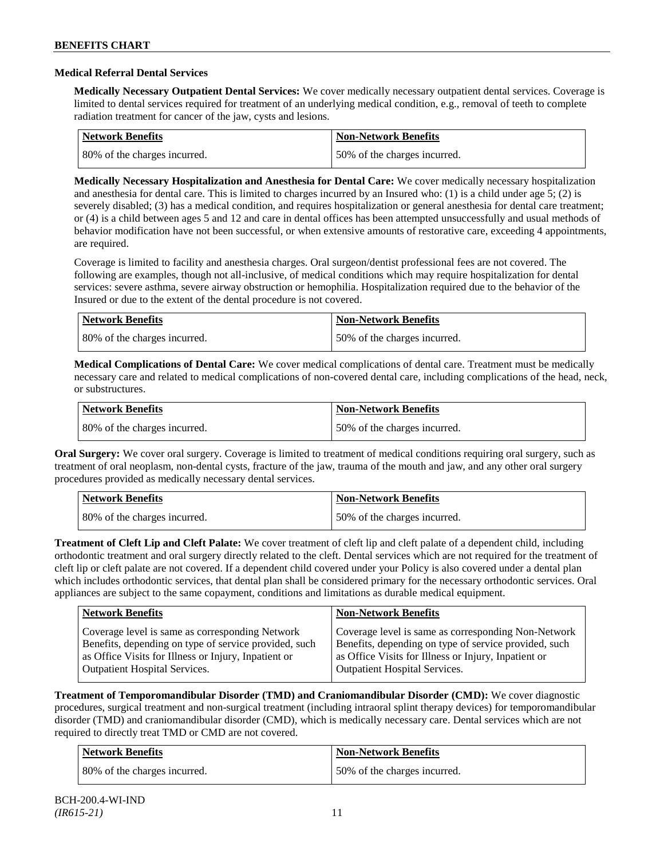#### **Medical Referral Dental Services**

**Medically Necessary Outpatient Dental Services:** We cover medically necessary outpatient dental services. Coverage is limited to dental services required for treatment of an underlying medical condition, e.g., removal of teeth to complete radiation treatment for cancer of the jaw, cysts and lesions.

| <b>Network Benefits</b>      | <b>Non-Network Benefits</b>  |
|------------------------------|------------------------------|
| 80% of the charges incurred. | 50% of the charges incurred. |

**Medically Necessary Hospitalization and Anesthesia for Dental Care:** We cover medically necessary hospitalization and anesthesia for dental care. This is limited to charges incurred by an Insured who: (1) is a child under age 5; (2) is severely disabled; (3) has a medical condition, and requires hospitalization or general anesthesia for dental care treatment; or (4) is a child between ages 5 and 12 and care in dental offices has been attempted unsuccessfully and usual methods of behavior modification have not been successful, or when extensive amounts of restorative care, exceeding 4 appointments, are required.

Coverage is limited to facility and anesthesia charges. Oral surgeon/dentist professional fees are not covered. The following are examples, though not all-inclusive, of medical conditions which may require hospitalization for dental services: severe asthma, severe airway obstruction or hemophilia. Hospitalization required due to the behavior of the Insured or due to the extent of the dental procedure is not covered.

| Network Benefits             | <b>Non-Network Benefits</b>  |
|------------------------------|------------------------------|
| 80% of the charges incurred. | 50% of the charges incurred. |

**Medical Complications of Dental Care:** We cover medical complications of dental care. Treatment must be medically necessary care and related to medical complications of non-covered dental care, including complications of the head, neck, or substructures.

| Network Benefits             | <b>Non-Network Benefits</b>  |
|------------------------------|------------------------------|
| 80% of the charges incurred. | 50% of the charges incurred. |

**Oral Surgery:** We cover oral surgery. Coverage is limited to treatment of medical conditions requiring oral surgery, such as treatment of oral neoplasm, non-dental cysts, fracture of the jaw, trauma of the mouth and jaw, and any other oral surgery procedures provided as medically necessary dental services.

| <b>Network Benefits</b>      | Non-Network Benefits         |
|------------------------------|------------------------------|
| 80% of the charges incurred. | 50% of the charges incurred. |

**Treatment of Cleft Lip and Cleft Palate:** We cover treatment of cleft lip and cleft palate of a dependent child, including orthodontic treatment and oral surgery directly related to the cleft. Dental services which are not required for the treatment of cleft lip or cleft palate are not covered. If a dependent child covered under your Policy is also covered under a dental plan which includes orthodontic services, that dental plan shall be considered primary for the necessary orthodontic services. Oral appliances are subject to the same copayment, conditions and limitations as durable medical equipment.

| <b>Network Benefits</b>                               | <b>Non-Network Benefits</b>                           |
|-------------------------------------------------------|-------------------------------------------------------|
| Coverage level is same as corresponding Network       | Coverage level is same as corresponding Non-Network   |
| Benefits, depending on type of service provided, such | Benefits, depending on type of service provided, such |
| as Office Visits for Illness or Injury, Inpatient or  | as Office Visits for Illness or Injury, Inpatient or  |
| <b>Outpatient Hospital Services.</b>                  | <b>Outpatient Hospital Services.</b>                  |

**Treatment of Temporomandibular Disorder (TMD) and Craniomandibular Disorder (CMD):** We cover diagnostic procedures, surgical treatment and non-surgical treatment (including intraoral splint therapy devices) for temporomandibular disorder (TMD) and craniomandibular disorder (CMD), which is medically necessary care. Dental services which are not required to directly treat TMD or CMD are not covered.

| <b>Network Benefits</b>      | <b>Non-Network Benefits</b>  |
|------------------------------|------------------------------|
| 80% of the charges incurred. | 50% of the charges incurred. |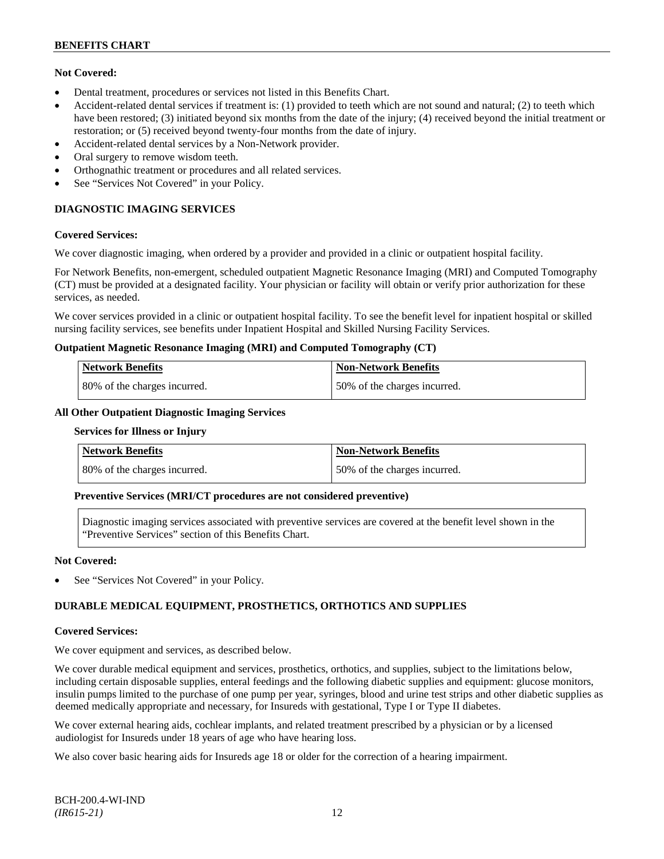## **Not Covered:**

- Dental treatment, procedures or services not listed in this Benefits Chart.
- Accident-related dental services if treatment is: (1) provided to teeth which are not sound and natural; (2) to teeth which have been restored; (3) initiated beyond six months from the date of the injury; (4) received beyond the initial treatment or restoration; or (5) received beyond twenty-four months from the date of injury.
- Accident-related dental services by a Non-Network provider.
- Oral surgery to remove wisdom teeth.
- Orthognathic treatment or procedures and all related services.
- See "Services Not Covered" in your Policy.

## **DIAGNOSTIC IMAGING SERVICES**

#### **Covered Services:**

We cover diagnostic imaging, when ordered by a provider and provided in a clinic or outpatient hospital facility.

For Network Benefits, non-emergent, scheduled outpatient Magnetic Resonance Imaging (MRI) and Computed Tomography (CT) must be provided at a designated facility. Your physician or facility will obtain or verify prior authorization for these services, as needed.

We cover services provided in a clinic or outpatient hospital facility. To see the benefit level for inpatient hospital or skilled nursing facility services, see benefits under Inpatient Hospital and Skilled Nursing Facility Services.

#### **Outpatient Magnetic Resonance Imaging (MRI) and Computed Tomography (CT)**

| <b>Network Benefits</b>      | <b>Non-Network Benefits</b>   |
|------------------------------|-------------------------------|
| 80% of the charges incurred. | 150% of the charges incurred. |

### **All Other Outpatient Diagnostic Imaging Services**

#### **Services for Illness or Injury**

| <b>Network Benefits</b>      | <b>Non-Network Benefits</b>  |
|------------------------------|------------------------------|
| 80% of the charges incurred. | 50% of the charges incurred. |

## **Preventive Services (MRI/CT procedures are not considered preventive)**

Diagnostic imaging services associated with preventive services are covered at the benefit level shown in the "Preventive Services" section of this Benefits Chart.

#### **Not Covered:**

See "Services Not Covered" in your Policy.

## **DURABLE MEDICAL EQUIPMENT, PROSTHETICS, ORTHOTICS AND SUPPLIES**

#### **Covered Services:**

We cover equipment and services, as described below.

We cover durable medical equipment and services, prosthetics, orthotics, and supplies, subject to the limitations below, including certain disposable supplies, enteral feedings and the following diabetic supplies and equipment: glucose monitors, insulin pumps limited to the purchase of one pump per year, syringes, blood and urine test strips and other diabetic supplies as deemed medically appropriate and necessary, for Insureds with gestational, Type I or Type II diabetes.

We cover external hearing aids, cochlear implants, and related treatment prescribed by a physician or by a licensed audiologist for Insureds under 18 years of age who have hearing loss.

We also cover basic hearing aids for Insureds age 18 or older for the correction of a hearing impairment.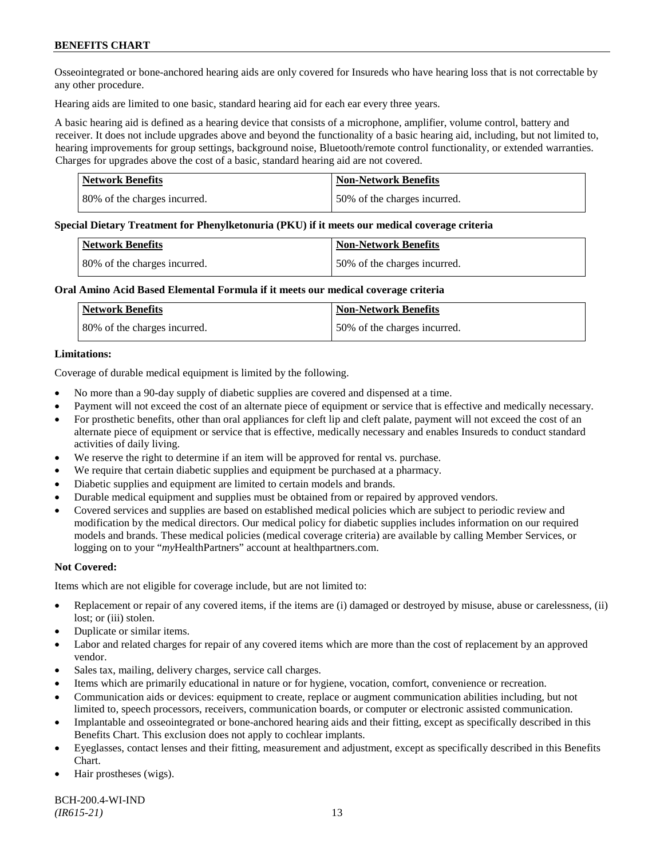Osseointegrated or bone-anchored hearing aids are only covered for Insureds who have hearing loss that is not correctable by any other procedure.

Hearing aids are limited to one basic, standard hearing aid for each ear every three years.

A basic hearing aid is defined as a hearing device that consists of a microphone, amplifier, volume control, battery and receiver. It does not include upgrades above and beyond the functionality of a basic hearing aid, including, but not limited to, hearing improvements for group settings, background noise, Bluetooth/remote control functionality, or extended warranties. Charges for upgrades above the cost of a basic, standard hearing aid are not covered.

| Network Benefits             | <b>Non-Network Benefits</b>  |
|------------------------------|------------------------------|
| 80% of the charges incurred. | 50% of the charges incurred. |

#### **Special Dietary Treatment for Phenylketonuria (PKU) if it meets our medical coverage criteria**

| <b>Network Benefits</b>      | <b>Non-Network Benefits</b>  |
|------------------------------|------------------------------|
| 80% of the charges incurred. | 50% of the charges incurred. |

#### **Oral Amino Acid Based Elemental Formula if it meets our medical coverage criteria**

| Network Benefits             | <b>Non-Network Benefits</b>  |
|------------------------------|------------------------------|
| 80% of the charges incurred. | 50% of the charges incurred. |

#### **Limitations:**

Coverage of durable medical equipment is limited by the following.

- No more than a 90-day supply of diabetic supplies are covered and dispensed at a time.
- Payment will not exceed the cost of an alternate piece of equipment or service that is effective and medically necessary.
- For prosthetic benefits, other than oral appliances for cleft lip and cleft palate, payment will not exceed the cost of an alternate piece of equipment or service that is effective, medically necessary and enables Insureds to conduct standard activities of daily living.
- We reserve the right to determine if an item will be approved for rental vs. purchase.
- We require that certain diabetic supplies and equipment be purchased at a pharmacy.
- Diabetic supplies and equipment are limited to certain models and brands.
- Durable medical equipment and supplies must be obtained from or repaired by approved vendors.
- Covered services and supplies are based on established medical policies which are subject to periodic review and modification by the medical directors. Our medical policy for diabetic supplies includes information on our required models and brands. These medical policies (medical coverage criteria) are available by calling Member Services, or logging on to your "*my*HealthPartners" account at [healthpartners.com.](http://www.healthpartners.com/)

## **Not Covered:**

Items which are not eligible for coverage include, but are not limited to:

- Replacement or repair of any covered items, if the items are (i) damaged or destroyed by misuse, abuse or carelessness, (ii) lost; or (iii) stolen.
- Duplicate or similar items.
- Labor and related charges for repair of any covered items which are more than the cost of replacement by an approved vendor.
- Sales tax, mailing, delivery charges, service call charges.
- Items which are primarily educational in nature or for hygiene, vocation, comfort, convenience or recreation.
- Communication aids or devices: equipment to create, replace or augment communication abilities including, but not limited to, speech processors, receivers, communication boards, or computer or electronic assisted communication.
- Implantable and osseointegrated or bone-anchored hearing aids and their fitting, except as specifically described in this Benefits Chart. This exclusion does not apply to cochlear implants.
- Eyeglasses, contact lenses and their fitting, measurement and adjustment, except as specifically described in this Benefits Chart.
- Hair prostheses (wigs).

BCH-200.4-WI-IND *(IR615-21)* 13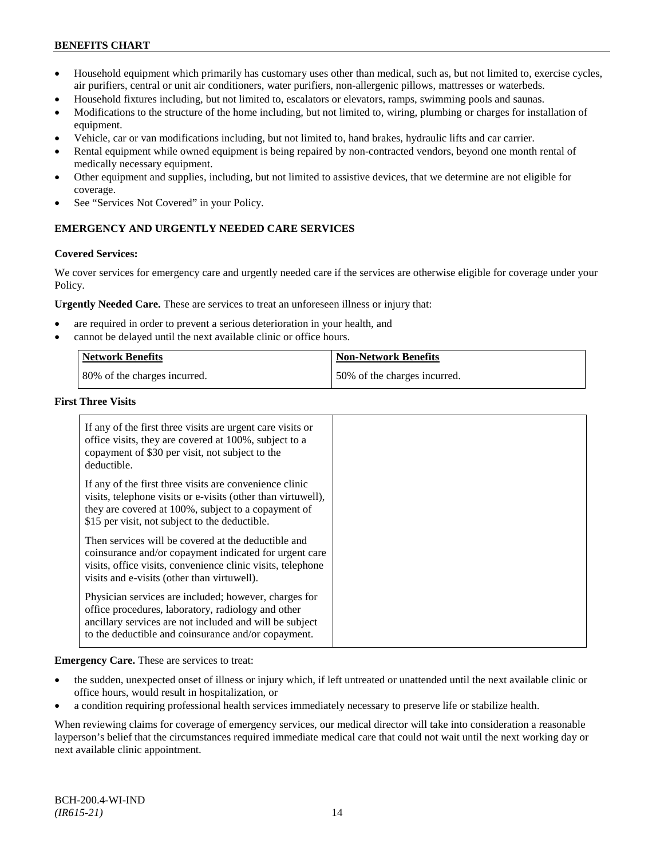- Household equipment which primarily has customary uses other than medical, such as, but not limited to, exercise cycles, air purifiers, central or unit air conditioners, water purifiers, non-allergenic pillows, mattresses or waterbeds.
- Household fixtures including, but not limited to, escalators or elevators, ramps, swimming pools and saunas.
- Modifications to the structure of the home including, but not limited to, wiring, plumbing or charges for installation of equipment.
- Vehicle, car or van modifications including, but not limited to, hand brakes, hydraulic lifts and car carrier.
- Rental equipment while owned equipment is being repaired by non-contracted vendors, beyond one month rental of medically necessary equipment.
- Other equipment and supplies, including, but not limited to assistive devices, that we determine are not eligible for coverage.
- See "Services Not Covered" in your Policy.

## **EMERGENCY AND URGENTLY NEEDED CARE SERVICES**

#### **Covered Services:**

We cover services for emergency care and urgently needed care if the services are otherwise eligible for coverage under your Policy.

**Urgently Needed Care.** These are services to treat an unforeseen illness or injury that:

- are required in order to prevent a serious deterioration in your health, and
- cannot be delayed until the next available clinic or office hours.

| Network Benefits             | <b>Non-Network Benefits</b>  |
|------------------------------|------------------------------|
| 80% of the charges incurred. | 50% of the charges incurred. |

#### **First Three Visits**

| If any of the first three visits are urgent care visits or<br>office visits, they are covered at 100%, subject to a<br>copayment of \$30 per visit, not subject to the<br>deductible.                                            |  |
|----------------------------------------------------------------------------------------------------------------------------------------------------------------------------------------------------------------------------------|--|
| If any of the first three visits are convenience clinic<br>visits, telephone visits or e-visits (other than virtuwell),<br>they are covered at 100%, subject to a copayment of<br>\$15 per visit, not subject to the deductible. |  |
| Then services will be covered at the deductible and<br>coinsurance and/or copayment indicated for urgent care<br>visits, office visits, convenience clinic visits, telephone<br>visits and e-visits (other than virtuwell).      |  |
| Physician services are included; however, charges for<br>office procedures, laboratory, radiology and other<br>ancillary services are not included and will be subject<br>to the deductible and coinsurance and/or copayment.    |  |

**Emergency Care.** These are services to treat:

- the sudden, unexpected onset of illness or injury which, if left untreated or unattended until the next available clinic or office hours, would result in hospitalization, or
- a condition requiring professional health services immediately necessary to preserve life or stabilize health.

When reviewing claims for coverage of emergency services, our medical director will take into consideration a reasonable layperson's belief that the circumstances required immediate medical care that could not wait until the next working day or next available clinic appointment.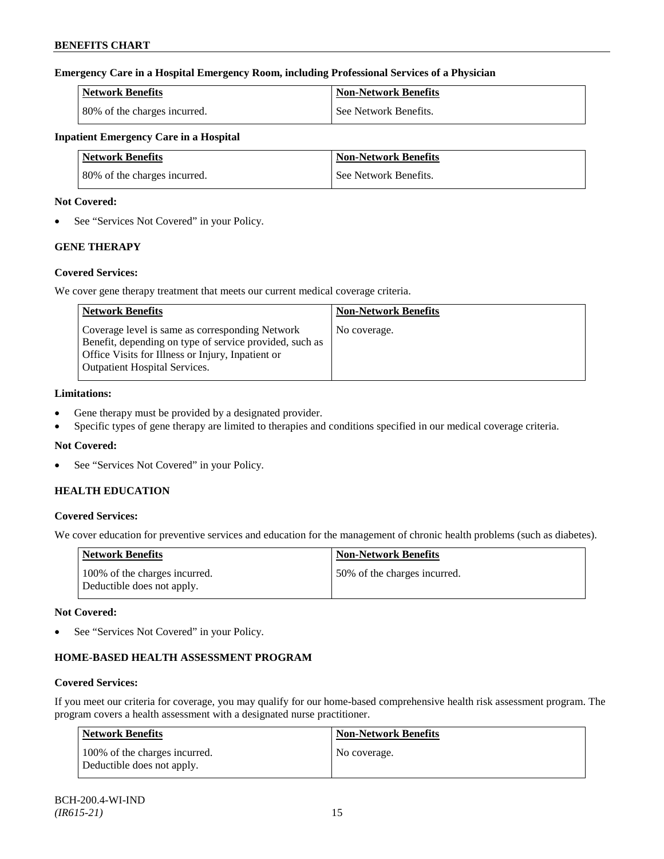## **Emergency Care in a Hospital Emergency Room, including Professional Services of a Physician**

| Network Benefits             | <b>Non-Network Benefits</b> |
|------------------------------|-----------------------------|
| 80% of the charges incurred. | See Network Benefits.       |

## **Inpatient Emergency Care in a Hospital**

| <b>Network Benefits</b>      | <b>Non-Network Benefits</b> |
|------------------------------|-----------------------------|
| 80% of the charges incurred. | See Network Benefits.       |

#### **Not Covered:**

• See "Services Not Covered" in your Policy.

## **GENE THERAPY**

#### **Covered Services:**

We cover gene therapy treatment that meets our current medical coverage criteria.

| <b>Network Benefits</b>                                                                                                                                                                                 | <b>Non-Network Benefits</b> |
|---------------------------------------------------------------------------------------------------------------------------------------------------------------------------------------------------------|-----------------------------|
| Coverage level is same as corresponding Network<br>Benefit, depending on type of service provided, such as<br>Office Visits for Illness or Injury, Inpatient or<br><b>Outpatient Hospital Services.</b> | No coverage.                |

## **Limitations:**

- Gene therapy must be provided by a designated provider.
- Specific types of gene therapy are limited to therapies and conditions specified in our medical coverage criteria.

## **Not Covered:**

• See "Services Not Covered" in your Policy.

## **HEALTH EDUCATION**

## **Covered Services:**

We cover education for preventive services and education for the management of chronic health problems (such as diabetes).

| <b>Network Benefits</b>                                     | <b>Non-Network Benefits</b>   |
|-------------------------------------------------------------|-------------------------------|
| 100% of the charges incurred.<br>Deductible does not apply. | 150% of the charges incurred. |

## **Not Covered:**

• See "Services Not Covered" in your Policy.

## **HOME-BASED HEALTH ASSESSMENT PROGRAM**

## **Covered Services:**

If you meet our criteria for coverage, you may qualify for our home-based comprehensive health risk assessment program. The program covers a health assessment with a designated nurse practitioner.

| Network Benefits                                            | <b>Non-Network Benefits</b> |
|-------------------------------------------------------------|-----------------------------|
| 100% of the charges incurred.<br>Deductible does not apply. | No coverage.                |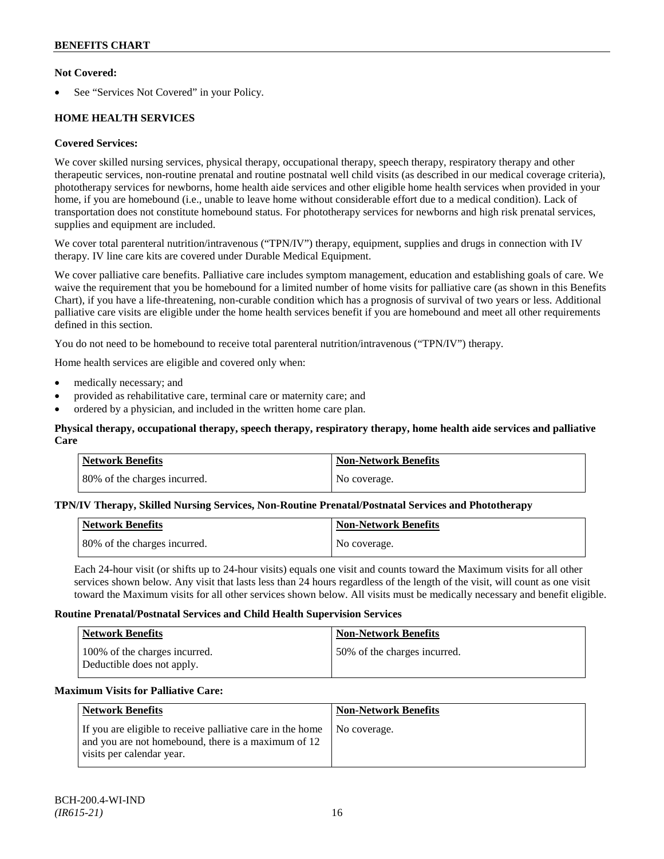## **Not Covered:**

See "Services Not Covered" in your Policy.

## **HOME HEALTH SERVICES**

## **Covered Services:**

We cover skilled nursing services, physical therapy, occupational therapy, speech therapy, respiratory therapy and other therapeutic services, non-routine prenatal and routine postnatal well child visits (as described in our medical coverage criteria), phototherapy services for newborns, home health aide services and other eligible home health services when provided in your home, if you are homebound (i.e., unable to leave home without considerable effort due to a medical condition). Lack of transportation does not constitute homebound status. For phototherapy services for newborns and high risk prenatal services, supplies and equipment are included.

We cover total parenteral nutrition/intravenous ("TPN/IV") therapy, equipment, supplies and drugs in connection with IV therapy. IV line care kits are covered under Durable Medical Equipment.

We cover palliative care benefits. Palliative care includes symptom management, education and establishing goals of care. We waive the requirement that you be homebound for a limited number of home visits for palliative care (as shown in this Benefits Chart), if you have a life-threatening, non-curable condition which has a prognosis of survival of two years or less. Additional palliative care visits are eligible under the home health services benefit if you are homebound and meet all other requirements defined in this section.

You do not need to be homebound to receive total parenteral nutrition/intravenous ("TPN/IV") therapy.

Home health services are eligible and covered only when:

- medically necessary; and
- provided as rehabilitative care, terminal care or maternity care; and
- ordered by a physician, and included in the written home care plan.

### **Physical therapy, occupational therapy, speech therapy, respiratory therapy, home health aide services and palliative Care**

| <b>Network Benefits</b>      | Non-Network Benefits |
|------------------------------|----------------------|
| 80% of the charges incurred. | No coverage.         |

#### **TPN/IV Therapy, Skilled Nursing Services, Non-Routine Prenatal/Postnatal Services and Phototherapy**

| Network Benefits             | <b>Non-Network Benefits</b> |
|------------------------------|-----------------------------|
| 80% of the charges incurred. | No coverage.                |

Each 24-hour visit (or shifts up to 24-hour visits) equals one visit and counts toward the Maximum visits for all other services shown below. Any visit that lasts less than 24 hours regardless of the length of the visit, will count as one visit toward the Maximum visits for all other services shown below. All visits must be medically necessary and benefit eligible.

#### **Routine Prenatal/Postnatal Services and Child Health Supervision Services**

| <b>Network Benefits</b>                                     | <b>Non-Network Benefits</b>  |
|-------------------------------------------------------------|------------------------------|
| 100% of the charges incurred.<br>Deductible does not apply. | 50% of the charges incurred. |

## **Maximum Visits for Palliative Care:**

| <b>Network Benefits</b>                                                                                                                        | Non-Network Benefits |
|------------------------------------------------------------------------------------------------------------------------------------------------|----------------------|
| If you are eligible to receive palliative care in the home<br>and you are not homebound, there is a maximum of 12<br>visits per calendar year. | No coverage.         |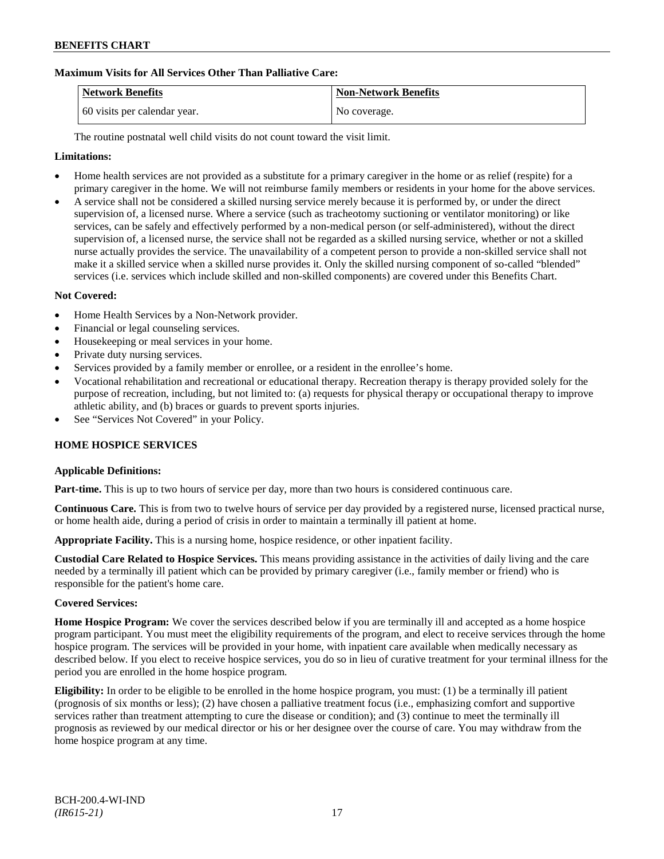## **Maximum Visits for All Services Other Than Palliative Care:**

| Network Benefits             | <b>Non-Network Benefits</b> |
|------------------------------|-----------------------------|
| 60 visits per calendar year. | No coverage.                |

The routine postnatal well child visits do not count toward the visit limit.

#### **Limitations:**

- Home health services are not provided as a substitute for a primary caregiver in the home or as relief (respite) for a primary caregiver in the home. We will not reimburse family members or residents in your home for the above services.
- A service shall not be considered a skilled nursing service merely because it is performed by, or under the direct supervision of, a licensed nurse. Where a service (such as tracheotomy suctioning or ventilator monitoring) or like services, can be safely and effectively performed by a non-medical person (or self-administered), without the direct supervision of, a licensed nurse, the service shall not be regarded as a skilled nursing service, whether or not a skilled nurse actually provides the service. The unavailability of a competent person to provide a non-skilled service shall not make it a skilled service when a skilled nurse provides it. Only the skilled nursing component of so-called "blended" services (i.e. services which include skilled and non-skilled components) are covered under this Benefits Chart.

#### **Not Covered:**

- Home Health Services by a Non-Network provider.
- Financial or legal counseling services.
- Housekeeping or meal services in your home.
- Private duty nursing services.
- Services provided by a family member or enrollee, or a resident in the enrollee's home.
- Vocational rehabilitation and recreational or educational therapy. Recreation therapy is therapy provided solely for the purpose of recreation, including, but not limited to: (a) requests for physical therapy or occupational therapy to improve athletic ability, and (b) braces or guards to prevent sports injuries.
- See "Services Not Covered" in your Policy.

#### **HOME HOSPICE SERVICES**

#### **Applicable Definitions:**

**Part-time.** This is up to two hours of service per day, more than two hours is considered continuous care.

**Continuous Care.** This is from two to twelve hours of service per day provided by a registered nurse, licensed practical nurse, or home health aide, during a period of crisis in order to maintain a terminally ill patient at home.

**Appropriate Facility.** This is a nursing home, hospice residence, or other inpatient facility.

**Custodial Care Related to Hospice Services.** This means providing assistance in the activities of daily living and the care needed by a terminally ill patient which can be provided by primary caregiver (i.e., family member or friend) who is responsible for the patient's home care.

#### **Covered Services:**

**Home Hospice Program:** We cover the services described below if you are terminally ill and accepted as a home hospice program participant. You must meet the eligibility requirements of the program, and elect to receive services through the home hospice program. The services will be provided in your home, with inpatient care available when medically necessary as described below. If you elect to receive hospice services, you do so in lieu of curative treatment for your terminal illness for the period you are enrolled in the home hospice program.

**Eligibility:** In order to be eligible to be enrolled in the home hospice program, you must: (1) be a terminally ill patient (prognosis of six months or less); (2) have chosen a palliative treatment focus (i.e., emphasizing comfort and supportive services rather than treatment attempting to cure the disease or condition); and (3) continue to meet the terminally ill prognosis as reviewed by our medical director or his or her designee over the course of care. You may withdraw from the home hospice program at any time.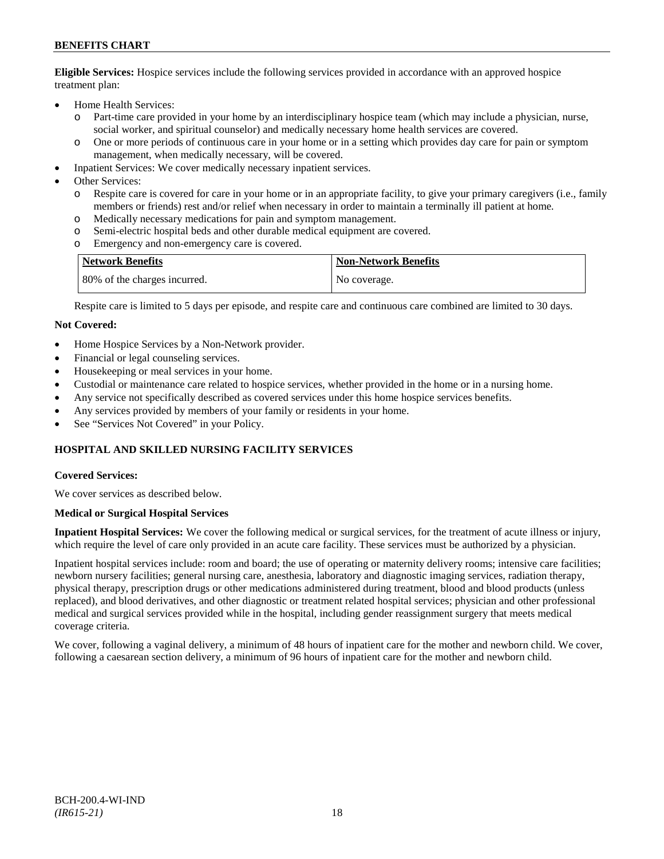**Eligible Services:** Hospice services include the following services provided in accordance with an approved hospice treatment plan:

- Home Health Services:
	- o Part-time care provided in your home by an interdisciplinary hospice team (which may include a physician, nurse, social worker, and spiritual counselor) and medically necessary home health services are covered.
	- o One or more periods of continuous care in your home or in a setting which provides day care for pain or symptom management, when medically necessary, will be covered.
- Inpatient Services: We cover medically necessary inpatient services.
- Other Services:
	- o Respite care is covered for care in your home or in an appropriate facility, to give your primary caregivers (i.e., family members or friends) rest and/or relief when necessary in order to maintain a terminally ill patient at home*.*
	- o Medically necessary medications for pain and symptom management.
	- o Semi-electric hospital beds and other durable medical equipment are covered.
	- o Emergency and non-emergency care is covered.

| <b>Network Benefits</b>      | <b>Non-Network Benefits</b> |
|------------------------------|-----------------------------|
| 80% of the charges incurred. | No coverage.                |

Respite care is limited to 5 days per episode, and respite care and continuous care combined are limited to 30 days.

#### **Not Covered:**

- Home Hospice Services by a Non-Network provider.
- Financial or legal counseling services.
- Housekeeping or meal services in your home.
- Custodial or maintenance care related to hospice services, whether provided in the home or in a nursing home.
- Any service not specifically described as covered services under this home hospice services benefits.
- Any services provided by members of your family or residents in your home.
- See "Services Not Covered" in your Policy.

## **HOSPITAL AND SKILLED NURSING FACILITY SERVICES**

#### **Covered Services:**

We cover services as described below.

#### **Medical or Surgical Hospital Services**

**Inpatient Hospital Services:** We cover the following medical or surgical services, for the treatment of acute illness or injury, which require the level of care only provided in an acute care facility. These services must be authorized by a physician.

Inpatient hospital services include: room and board; the use of operating or maternity delivery rooms; intensive care facilities; newborn nursery facilities; general nursing care, anesthesia, laboratory and diagnostic imaging services, radiation therapy, physical therapy, prescription drugs or other medications administered during treatment, blood and blood products (unless replaced), and blood derivatives, and other diagnostic or treatment related hospital services; physician and other professional medical and surgical services provided while in the hospital, including gender reassignment surgery that meets medical coverage criteria.

We cover, following a vaginal delivery, a minimum of 48 hours of inpatient care for the mother and newborn child. We cover, following a caesarean section delivery, a minimum of 96 hours of inpatient care for the mother and newborn child.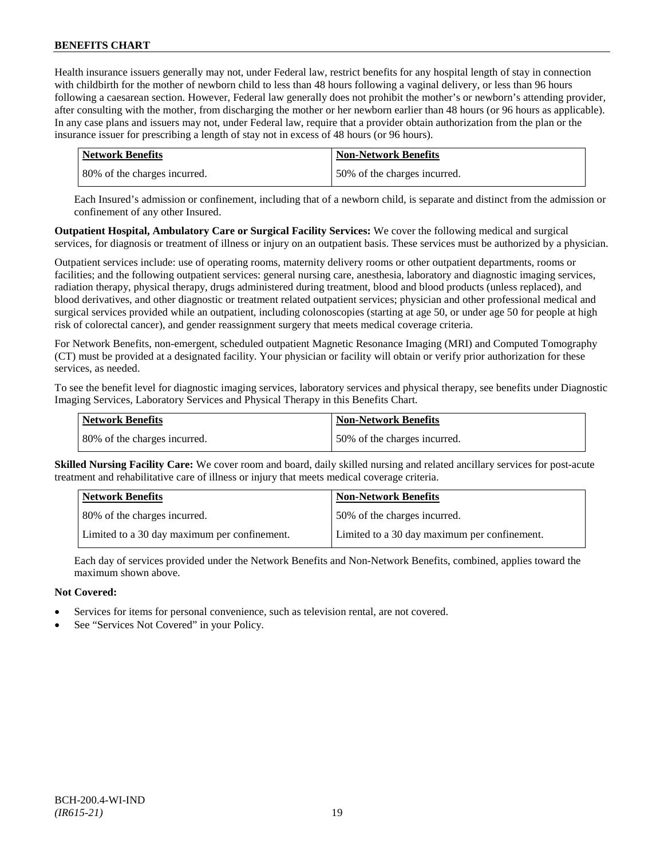Health insurance issuers generally may not, under Federal law, restrict benefits for any hospital length of stay in connection with childbirth for the mother of newborn child to less than 48 hours following a vaginal delivery, or less than 96 hours following a caesarean section. However, Federal law generally does not prohibit the mother's or newborn's attending provider, after consulting with the mother, from discharging the mother or her newborn earlier than 48 hours (or 96 hours as applicable). In any case plans and issuers may not, under Federal law, require that a provider obtain authorization from the plan or the insurance issuer for prescribing a length of stay not in excess of 48 hours (or 96 hours).

| Network Benefits             | <b>Non-Network Benefits</b>  |
|------------------------------|------------------------------|
| 80% of the charges incurred. | 50% of the charges incurred. |

Each Insured's admission or confinement, including that of a newborn child, is separate and distinct from the admission or confinement of any other Insured.

**Outpatient Hospital, Ambulatory Care or Surgical Facility Services:** We cover the following medical and surgical services, for diagnosis or treatment of illness or injury on an outpatient basis. These services must be authorized by a physician.

Outpatient services include: use of operating rooms, maternity delivery rooms or other outpatient departments, rooms or facilities; and the following outpatient services: general nursing care, anesthesia, laboratory and diagnostic imaging services, radiation therapy, physical therapy, drugs administered during treatment, blood and blood products (unless replaced), and blood derivatives, and other diagnostic or treatment related outpatient services; physician and other professional medical and surgical services provided while an outpatient, including colonoscopies (starting at age 50, or under age 50 for people at high risk of colorectal cancer), and gender reassignment surgery that meets medical coverage criteria.

For Network Benefits, non-emergent, scheduled outpatient Magnetic Resonance Imaging (MRI) and Computed Tomography (CT) must be provided at a designated facility. Your physician or facility will obtain or verify prior authorization for these services, as needed.

To see the benefit level for diagnostic imaging services, laboratory services and physical therapy, see benefits under Diagnostic Imaging Services, Laboratory Services and Physical Therapy in this Benefits Chart.

| <b>Network Benefits</b>      | <b>Non-Network Benefits</b>  |
|------------------------------|------------------------------|
| 80% of the charges incurred. | 50% of the charges incurred. |

**Skilled Nursing Facility Care:** We cover room and board, daily skilled nursing and related ancillary services for post-acute treatment and rehabilitative care of illness or injury that meets medical coverage criteria.

| <b>Network Benefits</b>                      | <b>Non-Network Benefits</b>                  |
|----------------------------------------------|----------------------------------------------|
| 80% of the charges incurred.                 | 50% of the charges incurred.                 |
| Limited to a 30 day maximum per confinement. | Limited to a 30 day maximum per confinement. |

Each day of services provided under the Network Benefits and Non-Network Benefits, combined, applies toward the maximum shown above.

## **Not Covered:**

- Services for items for personal convenience, such as television rental, are not covered.
- See "Services Not Covered" in your Policy.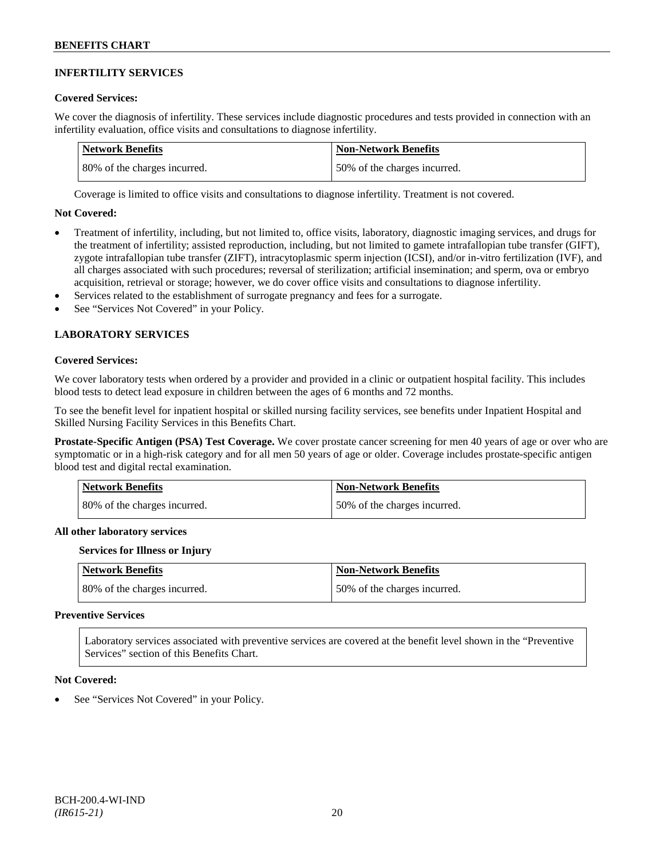### **INFERTILITY SERVICES**

#### **Covered Services:**

We cover the diagnosis of infertility. These services include diagnostic procedures and tests provided in connection with an infertility evaluation, office visits and consultations to diagnose infertility.

| Network Benefits             | <b>Non-Network Benefits</b>  |
|------------------------------|------------------------------|
| 80% of the charges incurred. | 50% of the charges incurred. |

Coverage is limited to office visits and consultations to diagnose infertility. Treatment is not covered.

#### **Not Covered:**

- Treatment of infertility, including, but not limited to, office visits, laboratory, diagnostic imaging services, and drugs for the treatment of infertility; assisted reproduction, including, but not limited to gamete intrafallopian tube transfer (GIFT), zygote intrafallopian tube transfer (ZIFT), intracytoplasmic sperm injection (ICSI), and/or in-vitro fertilization (IVF), and all charges associated with such procedures; reversal of sterilization; artificial insemination; and sperm, ova or embryo acquisition, retrieval or storage; however, we do cover office visits and consultations to diagnose infertility.
- Services related to the establishment of surrogate pregnancy and fees for a surrogate.
- See "Services Not Covered" in your Policy.

## **LABORATORY SERVICES**

#### **Covered Services:**

We cover laboratory tests when ordered by a provider and provided in a clinic or outpatient hospital facility. This includes blood tests to detect lead exposure in children between the ages of 6 months and 72 months.

To see the benefit level for inpatient hospital or skilled nursing facility services, see benefits under Inpatient Hospital and Skilled Nursing Facility Services in this Benefits Chart.

**Prostate-Specific Antigen (PSA) Test Coverage.** We cover prostate cancer screening for men 40 years of age or over who are symptomatic or in a high-risk category and for all men 50 years of age or older. Coverage includes prostate-specific antigen blood test and digital rectal examination.

| <b>Network Benefits</b>      | <b>Non-Network Benefits</b>  |
|------------------------------|------------------------------|
| 80% of the charges incurred. | 50% of the charges incurred. |

#### **All other laboratory services**

#### **Services for Illness or Injury**

| <b>Network Benefits</b>      | <b>Non-Network Benefits</b>  |
|------------------------------|------------------------------|
| 80% of the charges incurred. | 50% of the charges incurred. |

#### **Preventive Services**

Laboratory services associated with preventive services are covered at the benefit level shown in the "Preventive Services" section of this Benefits Chart.

#### **Not Covered:**

See "Services Not Covered" in your Policy.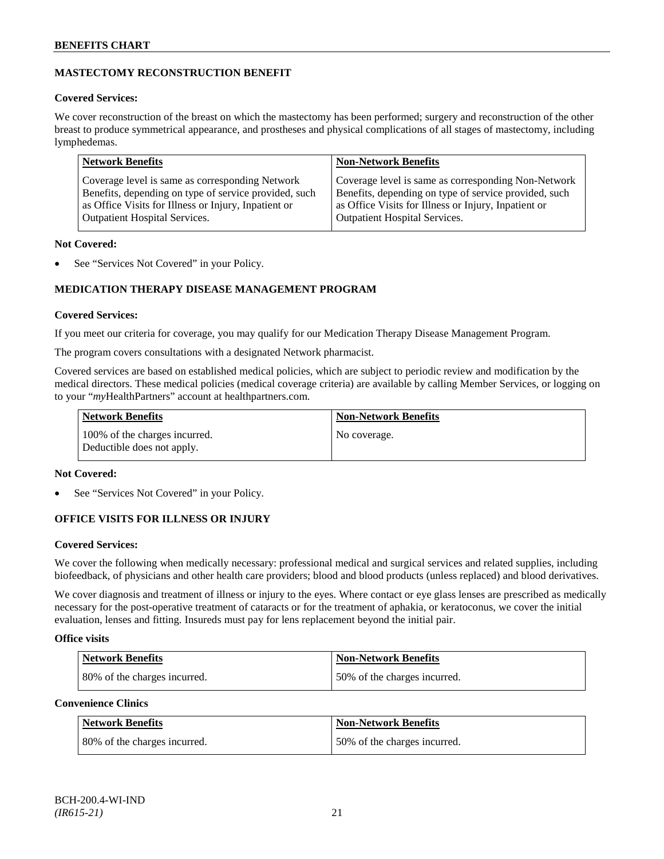## **MASTECTOMY RECONSTRUCTION BENEFIT**

## **Covered Services:**

We cover reconstruction of the breast on which the mastectomy has been performed; surgery and reconstruction of the other breast to produce symmetrical appearance, and prostheses and physical complications of all stages of mastectomy, including lymphedemas.

| <b>Network Benefits</b>                               | <b>Non-Network Benefits</b>                           |
|-------------------------------------------------------|-------------------------------------------------------|
| Coverage level is same as corresponding Network       | Coverage level is same as corresponding Non-Network   |
| Benefits, depending on type of service provided, such | Benefits, depending on type of service provided, such |
| as Office Visits for Illness or Injury, Inpatient or  | as Office Visits for Illness or Injury, Inpatient or  |
| <b>Outpatient Hospital Services.</b>                  | Outpatient Hospital Services.                         |

## **Not Covered:**

See "Services Not Covered" in your Policy.

## **MEDICATION THERAPY DISEASE MANAGEMENT PROGRAM**

## **Covered Services:**

If you meet our criteria for coverage, you may qualify for our Medication Therapy Disease Management Program.

The program covers consultations with a designated Network pharmacist.

Covered services are based on established medical policies, which are subject to periodic review and modification by the medical directors. These medical policies (medical coverage criteria) are available by calling Member Services, or logging on to your "*my*HealthPartners" account at [healthpartners.com.](http://www.healthpartners.com/)

| <b>Network Benefits</b>                                     | <b>Non-Network Benefits</b> |
|-------------------------------------------------------------|-----------------------------|
| 100% of the charges incurred.<br>Deductible does not apply. | No coverage.                |

## **Not Covered:**

See "Services Not Covered" in your Policy.

## **OFFICE VISITS FOR ILLNESS OR INJURY**

## **Covered Services:**

We cover the following when medically necessary: professional medical and surgical services and related supplies, including biofeedback, of physicians and other health care providers; blood and blood products (unless replaced) and blood derivatives.

We cover diagnosis and treatment of illness or injury to the eyes. Where contact or eye glass lenses are prescribed as medically necessary for the post-operative treatment of cataracts or for the treatment of aphakia, or keratoconus, we cover the initial evaluation, lenses and fitting. Insureds must pay for lens replacement beyond the initial pair.

## **Office visits**

| Network Benefits             | <b>Non-Network Benefits</b>  |
|------------------------------|------------------------------|
| 80% of the charges incurred. | 50% of the charges incurred. |

## **Convenience Clinics**

| <b>Network Benefits</b>      | <b>Non-Network Benefits</b>  |
|------------------------------|------------------------------|
| 80% of the charges incurred. | 50% of the charges incurred. |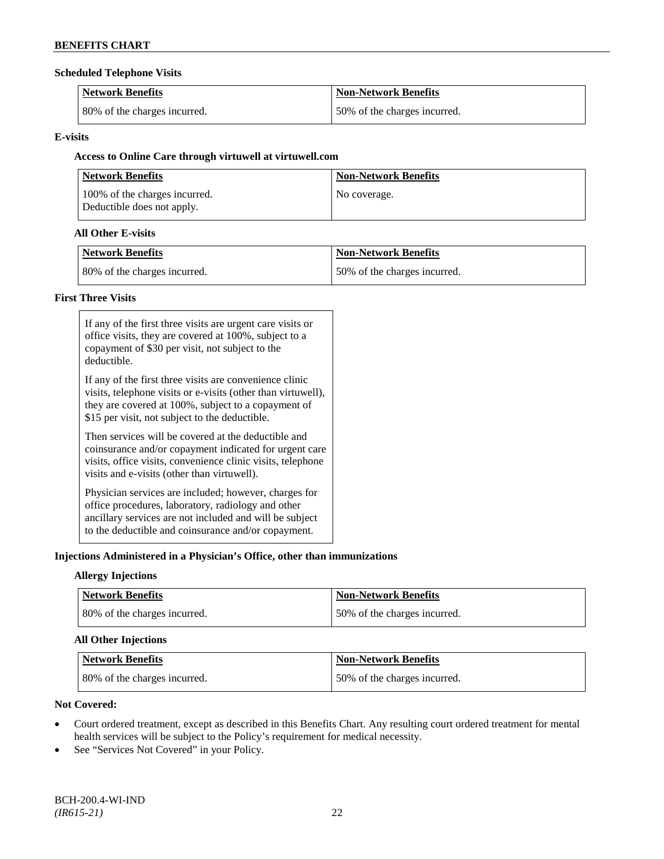#### **Scheduled Telephone Visits**

| <b>Network Benefits</b>      | <b>Non-Network Benefits</b>  |
|------------------------------|------------------------------|
| 80% of the charges incurred. | 50% of the charges incurred. |

## **E-visits**

## **Access to Online Care through virtuwell a[t virtuwell.com](http://www.virtuwell.com/)**

| <b>Network Benefits</b>                                     | <b>Non-Network Benefits</b> |
|-------------------------------------------------------------|-----------------------------|
| 100% of the charges incurred.<br>Deductible does not apply. | No coverage.                |

### **All Other E-visits**

| Network Benefits             | <b>Non-Network Benefits</b>  |
|------------------------------|------------------------------|
| 80% of the charges incurred. | 50% of the charges incurred. |

## **First Three Visits**

| If any of the first three visits are urgent care visits or<br>office visits, they are covered at 100%, subject to a<br>copayment of \$30 per visit, not subject to the<br>deductible.                                            |
|----------------------------------------------------------------------------------------------------------------------------------------------------------------------------------------------------------------------------------|
| If any of the first three visits are convenience clinic<br>visits, telephone visits or e-visits (other than virtuwell),<br>they are covered at 100%, subject to a copayment of<br>\$15 per visit, not subject to the deductible. |
| Then services will be covered at the deductible and<br>coinsurance and/or copayment indicated for urgent care<br>visits, office visits, convenience clinic visits, telephone<br>visits and e-visits (other than virtuwell).      |
| Physician services are included; however, charges for<br>office procedures, laboratory, radiology and other<br>ancillary services are not included and will be subject<br>to the deductible and coinsurance and/or copayment.    |

## **Injections Administered in a Physician's Office, other than immunizations**

## **Allergy Injections**

| Network Benefits             | <b>Non-Network Benefits</b>  |
|------------------------------|------------------------------|
| 80% of the charges incurred. | 50% of the charges incurred. |

## **All Other Injections**

| Network Benefits              | <b>Non-Network Benefits</b>  |
|-------------------------------|------------------------------|
| 180% of the charges incurred. | 50% of the charges incurred. |

## **Not Covered:**

- Court ordered treatment, except as described in this Benefits Chart. Any resulting court ordered treatment for mental health services will be subject to the Policy's requirement for medical necessity.
- See "Services Not Covered" in your Policy.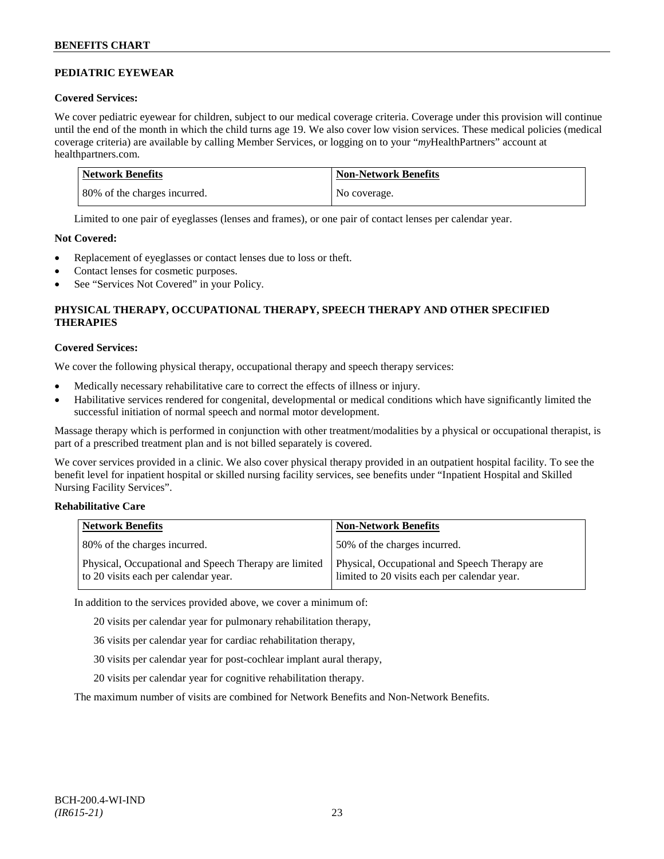## **PEDIATRIC EYEWEAR**

## **Covered Services:**

We cover pediatric eyewear for children, subject to our medical coverage criteria. Coverage under this provision will continue until the end of the month in which the child turns age 19. We also cover low vision services. These medical policies (medical coverage criteria) are available by calling Member Services, or logging on to your "*my*HealthPartners" account at [healthpartners.com.](http://www.healthpartners.com/)

| Network Benefits             | <b>Non-Network Benefits</b> |
|------------------------------|-----------------------------|
| 80% of the charges incurred. | No coverage.                |

Limited to one pair of eyeglasses (lenses and frames), or one pair of contact lenses per calendar year.

## **Not Covered:**

- Replacement of eyeglasses or contact lenses due to loss or theft.
- Contact lenses for cosmetic purposes.
- See "Services Not Covered" in your Policy.

## **PHYSICAL THERAPY, OCCUPATIONAL THERAPY, SPEECH THERAPY AND OTHER SPECIFIED THERAPIES**

## **Covered Services:**

We cover the following physical therapy, occupational therapy and speech therapy services:

- Medically necessary rehabilitative care to correct the effects of illness or injury.
- Habilitative services rendered for congenital, developmental or medical conditions which have significantly limited the successful initiation of normal speech and normal motor development.

Massage therapy which is performed in conjunction with other treatment/modalities by a physical or occupational therapist, is part of a prescribed treatment plan and is not billed separately is covered.

We cover services provided in a clinic. We also cover physical therapy provided in an outpatient hospital facility. To see the benefit level for inpatient hospital or skilled nursing facility services, see benefits under "Inpatient Hospital and Skilled Nursing Facility Services".

## **Rehabilitative Care**

| <b>Network Benefits</b>                                                                       | <b>Non-Network Benefits</b>                                                                   |
|-----------------------------------------------------------------------------------------------|-----------------------------------------------------------------------------------------------|
| 80% of the charges incurred.                                                                  | 50% of the charges incurred.                                                                  |
| Physical, Occupational and Speech Therapy are limited<br>to 20 visits each per calendar year. | Physical, Occupational and Speech Therapy are<br>limited to 20 visits each per calendar year. |

In addition to the services provided above, we cover a minimum of:

20 visits per calendar year for pulmonary rehabilitation therapy,

- 36 visits per calendar year for cardiac rehabilitation therapy,
- 30 visits per calendar year for post-cochlear implant aural therapy,
- 20 visits per calendar year for cognitive rehabilitation therapy.

The maximum number of visits are combined for Network Benefits and Non-Network Benefits.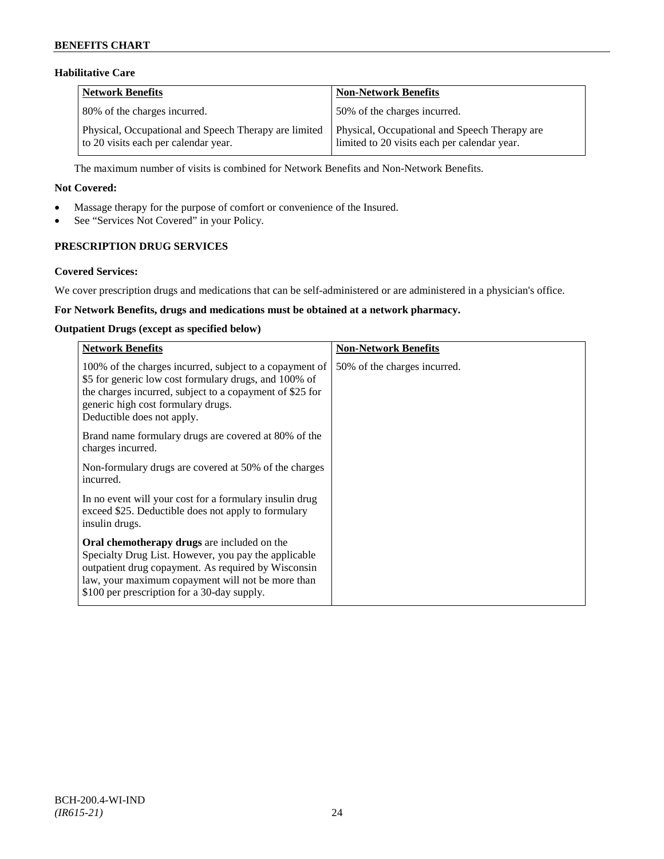## **Habilitative Care**

| <b>Network Benefits</b>                                                                       | <b>Non-Network Benefits</b>                                                                   |
|-----------------------------------------------------------------------------------------------|-----------------------------------------------------------------------------------------------|
| 80% of the charges incurred.                                                                  | 50% of the charges incurred.                                                                  |
| Physical, Occupational and Speech Therapy are limited<br>to 20 visits each per calendar year. | Physical, Occupational and Speech Therapy are<br>limited to 20 visits each per calendar year. |

The maximum number of visits is combined for Network Benefits and Non-Network Benefits.

#### **Not Covered:**

- Massage therapy for the purpose of comfort or convenience of the Insured.
- See "Services Not Covered" in your Policy.

## **PRESCRIPTION DRUG SERVICES**

#### **Covered Services:**

We cover prescription drugs and medications that can be self-administered or are administered in a physician's office.

## **For Network Benefits, drugs and medications must be obtained at a network pharmacy.**

#### **Outpatient Drugs (except as specified below)**

| <b>Network Benefits</b>                                                                                                                                                                                                                                               | <b>Non-Network Benefits</b>  |
|-----------------------------------------------------------------------------------------------------------------------------------------------------------------------------------------------------------------------------------------------------------------------|------------------------------|
| 100% of the charges incurred, subject to a copayment of<br>\$5 for generic low cost formulary drugs, and 100% of<br>the charges incurred, subject to a copayment of \$25 for<br>generic high cost formulary drugs.<br>Deductible does not apply.                      | 50% of the charges incurred. |
| Brand name formulary drugs are covered at 80% of the<br>charges incurred.                                                                                                                                                                                             |                              |
| Non-formulary drugs are covered at 50% of the charges<br>incurred.                                                                                                                                                                                                    |                              |
| In no event will your cost for a formulary insulin drug<br>exceed \$25. Deductible does not apply to formulary<br>insulin drugs.                                                                                                                                      |                              |
| <b>Oral chemotherapy drugs</b> are included on the<br>Specialty Drug List. However, you pay the applicable<br>outpatient drug copayment. As required by Wisconsin<br>law, your maximum copayment will not be more than<br>\$100 per prescription for a 30-day supply. |                              |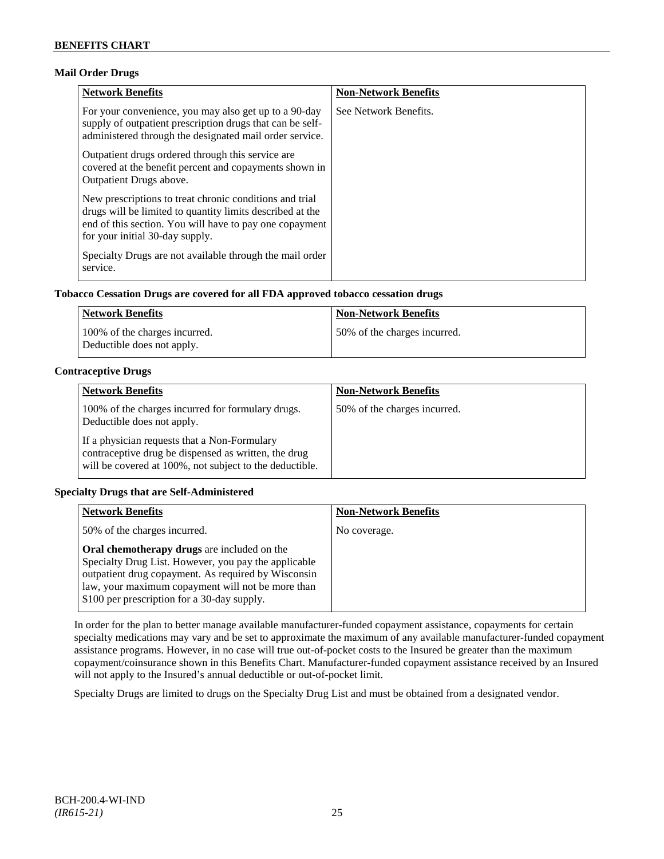## **Mail Order Drugs**

| <b>Network Benefits</b>                                                                                                                                                                                            | <b>Non-Network Benefits</b> |
|--------------------------------------------------------------------------------------------------------------------------------------------------------------------------------------------------------------------|-----------------------------|
| For your convenience, you may also get up to a 90-day<br>supply of outpatient prescription drugs that can be self-<br>administered through the designated mail order service.                                      | See Network Benefits.       |
| Outpatient drugs ordered through this service are.<br>covered at the benefit percent and copayments shown in<br><b>Outpatient Drugs above.</b>                                                                     |                             |
| New prescriptions to treat chronic conditions and trial<br>drugs will be limited to quantity limits described at the<br>end of this section. You will have to pay one copayment<br>for your initial 30-day supply. |                             |
| Specialty Drugs are not available through the mail order<br>service.                                                                                                                                               |                             |

## **Tobacco Cessation Drugs are covered for all FDA approved tobacco cessation drugs**

| Network Benefits                                            | <b>Non-Network Benefits</b>  |
|-------------------------------------------------------------|------------------------------|
| 100% of the charges incurred.<br>Deductible does not apply. | 50% of the charges incurred. |

## **Contraceptive Drugs**

| <b>Network Benefits</b>                                                                                                                                         | <b>Non-Network Benefits</b>  |
|-----------------------------------------------------------------------------------------------------------------------------------------------------------------|------------------------------|
| 100% of the charges incurred for formulary drugs.<br>Deductible does not apply.                                                                                 | 50% of the charges incurred. |
| If a physician requests that a Non-Formulary<br>contraceptive drug be dispensed as written, the drug<br>will be covered at 100%, not subject to the deductible. |                              |

## **Specialty Drugs that are Self-Administered**

| <b>Network Benefits</b>                                                                                                                                                                                                                                               | <b>Non-Network Benefits</b> |
|-----------------------------------------------------------------------------------------------------------------------------------------------------------------------------------------------------------------------------------------------------------------------|-----------------------------|
| 50% of the charges incurred.                                                                                                                                                                                                                                          | No coverage.                |
| <b>Oral chemotherapy drugs</b> are included on the<br>Specialty Drug List. However, you pay the applicable<br>outpatient drug copayment. As required by Wisconsin<br>law, your maximum copayment will not be more than<br>\$100 per prescription for a 30-day supply. |                             |

In order for the plan to better manage available manufacturer-funded copayment assistance, copayments for certain specialty medications may vary and be set to approximate the maximum of any available manufacturer-funded copayment assistance programs. However, in no case will true out-of-pocket costs to the Insured be greater than the maximum copayment/coinsurance shown in this Benefits Chart. Manufacturer-funded copayment assistance received by an Insured will not apply to the Insured's annual deductible or out-of-pocket limit.

Specialty Drugs are limited to drugs on the Specialty Drug List and must be obtained from a designated vendor.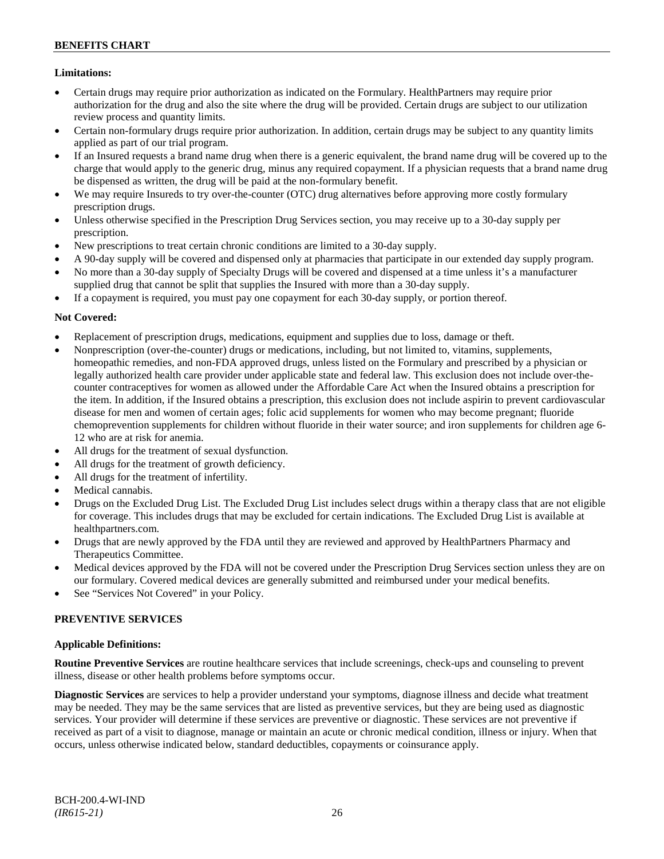## **Limitations:**

- Certain drugs may require prior authorization as indicated on the Formulary. HealthPartners may require prior authorization for the drug and also the site where the drug will be provided. Certain drugs are subject to our utilization review process and quantity limits.
- Certain non-formulary drugs require prior authorization. In addition, certain drugs may be subject to any quantity limits applied as part of our trial program.
- If an Insured requests a brand name drug when there is a generic equivalent, the brand name drug will be covered up to the charge that would apply to the generic drug, minus any required copayment. If a physician requests that a brand name drug be dispensed as written, the drug will be paid at the non-formulary benefit.
- We may require Insureds to try over-the-counter (OTC) drug alternatives before approving more costly formulary prescription drugs.
- Unless otherwise specified in the Prescription Drug Services section, you may receive up to a 30-day supply per prescription.
- New prescriptions to treat certain chronic conditions are limited to a 30-day supply.
- A 90-day supply will be covered and dispensed only at pharmacies that participate in our extended day supply program.
- No more than a 30-day supply of Specialty Drugs will be covered and dispensed at a time unless it's a manufacturer supplied drug that cannot be split that supplies the Insured with more than a 30-day supply.
- If a copayment is required, you must pay one copayment for each 30-day supply, or portion thereof.

## **Not Covered:**

- Replacement of prescription drugs, medications, equipment and supplies due to loss, damage or theft.
- Nonprescription (over-the-counter) drugs or medications, including, but not limited to, vitamins, supplements, homeopathic remedies, and non-FDA approved drugs, unless listed on the Formulary and prescribed by a physician or legally authorized health care provider under applicable state and federal law. This exclusion does not include over-thecounter contraceptives for women as allowed under the Affordable Care Act when the Insured obtains a prescription for the item. In addition, if the Insured obtains a prescription, this exclusion does not include aspirin to prevent cardiovascular disease for men and women of certain ages; folic acid supplements for women who may become pregnant; fluoride chemoprevention supplements for children without fluoride in their water source; and iron supplements for children age 6- 12 who are at risk for anemia.
- All drugs for the treatment of sexual dysfunction.
- All drugs for the treatment of growth deficiency.
- All drugs for the treatment of infertility.
- Medical cannabis.
- Drugs on the Excluded Drug List. The Excluded Drug List includes select drugs within a therapy class that are not eligible for coverage. This includes drugs that may be excluded for certain indications. The Excluded Drug List is available at [healthpartners.com.](http://www.healthpartners.com/)
- Drugs that are newly approved by the FDA until they are reviewed and approved by HealthPartners Pharmacy and Therapeutics Committee.
- Medical devices approved by the FDA will not be covered under the Prescription Drug Services section unless they are on our formulary. Covered medical devices are generally submitted and reimbursed under your medical benefits.
- See "Services Not Covered" in your Policy.

## **PREVENTIVE SERVICES**

## **Applicable Definitions:**

**Routine Preventive Services** are routine healthcare services that include screenings, check-ups and counseling to prevent illness, disease or other health problems before symptoms occur.

**Diagnostic Services** are services to help a provider understand your symptoms, diagnose illness and decide what treatment may be needed. They may be the same services that are listed as preventive services, but they are being used as diagnostic services. Your provider will determine if these services are preventive or diagnostic. These services are not preventive if received as part of a visit to diagnose, manage or maintain an acute or chronic medical condition, illness or injury. When that occurs, unless otherwise indicated below, standard deductibles, copayments or coinsurance apply.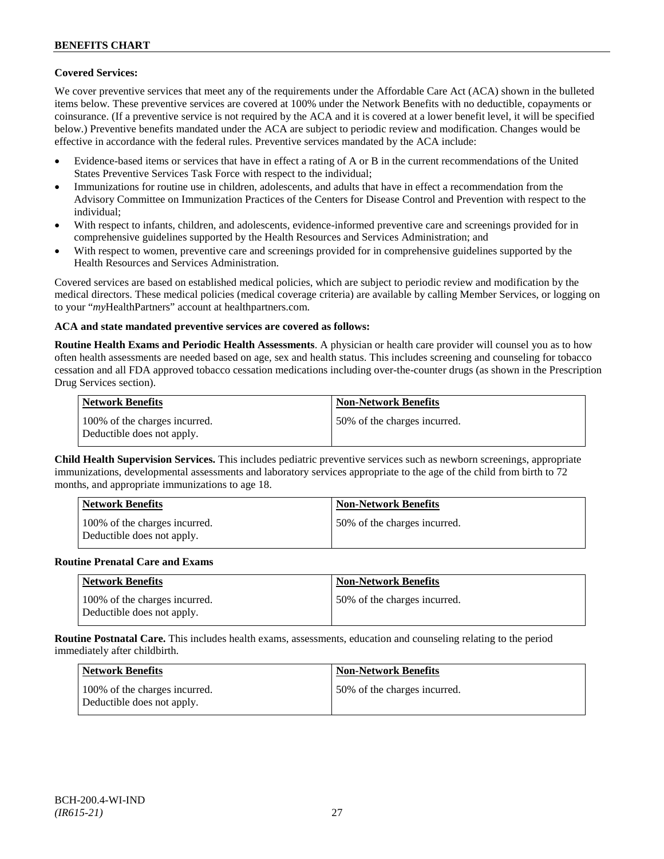## **Covered Services:**

We cover preventive services that meet any of the requirements under the Affordable Care Act (ACA) shown in the bulleted items below. These preventive services are covered at 100% under the Network Benefits with no deductible, copayments or coinsurance. (If a preventive service is not required by the ACA and it is covered at a lower benefit level, it will be specified below.) Preventive benefits mandated under the ACA are subject to periodic review and modification. Changes would be effective in accordance with the federal rules. Preventive services mandated by the ACA include:

- Evidence-based items or services that have in effect a rating of A or B in the current recommendations of the United States Preventive Services Task Force with respect to the individual;
- Immunizations for routine use in children, adolescents, and adults that have in effect a recommendation from the Advisory Committee on Immunization Practices of the Centers for Disease Control and Prevention with respect to the individual;
- With respect to infants, children, and adolescents, evidence-informed preventive care and screenings provided for in comprehensive guidelines supported by the Health Resources and Services Administration; and
- With respect to women, preventive care and screenings provided for in comprehensive guidelines supported by the Health Resources and Services Administration.

Covered services are based on established medical policies, which are subject to periodic review and modification by the medical directors. These medical policies (medical coverage criteria) are available by calling Member Services, or logging on to your "*my*HealthPartners" account at [healthpartners.com.](http://www.healthpartners.com/)

## **ACA and state mandated preventive services are covered as follows:**

**Routine Health Exams and Periodic Health Assessments**. A physician or health care provider will counsel you as to how often health assessments are needed based on age, sex and health status. This includes screening and counseling for tobacco cessation and all FDA approved tobacco cessation medications including over-the-counter drugs (as shown in the Prescription Drug Services section).

| <b>Network Benefits</b>                                     | <b>Non-Network Benefits</b>  |
|-------------------------------------------------------------|------------------------------|
| 100% of the charges incurred.<br>Deductible does not apply. | 50% of the charges incurred. |

**Child Health Supervision Services.** This includes pediatric preventive services such as newborn screenings, appropriate immunizations, developmental assessments and laboratory services appropriate to the age of the child from birth to 72 months, and appropriate immunizations to age 18.

| <b>Network Benefits</b>                                     | <b>Non-Network Benefits</b>  |
|-------------------------------------------------------------|------------------------------|
| 100% of the charges incurred.<br>Deductible does not apply. | 50% of the charges incurred. |

#### **Routine Prenatal Care and Exams**

| <b>Network Benefits</b>                                     | <b>Non-Network Benefits</b>  |
|-------------------------------------------------------------|------------------------------|
| 100% of the charges incurred.<br>Deductible does not apply. | 50% of the charges incurred. |

**Routine Postnatal Care.** This includes health exams, assessments, education and counseling relating to the period immediately after childbirth.

| <b>Network Benefits</b>                                     | <b>Non-Network Benefits</b>  |
|-------------------------------------------------------------|------------------------------|
| 100% of the charges incurred.<br>Deductible does not apply. | 50% of the charges incurred. |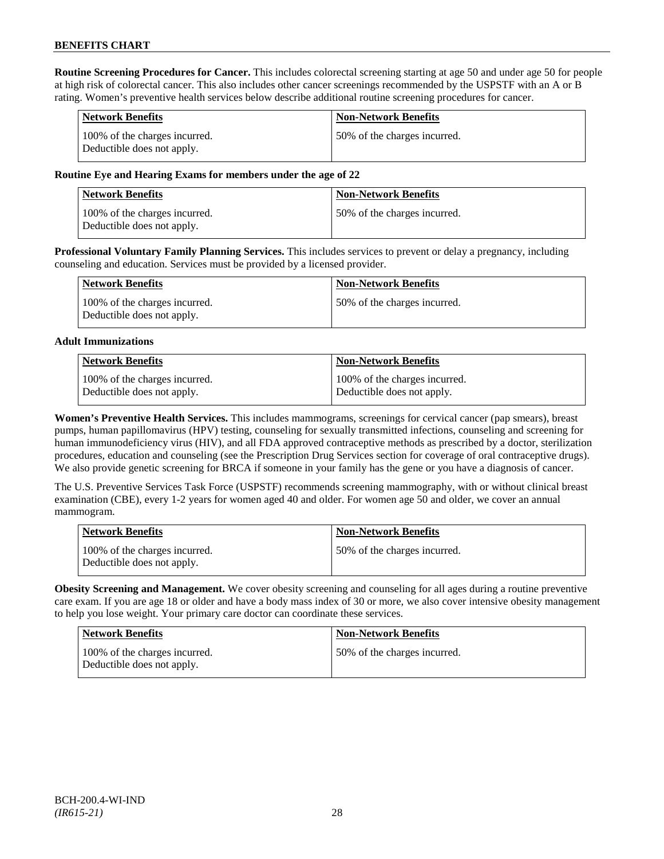**Routine Screening Procedures for Cancer.** This includes colorectal screening starting at age 50 and under age 50 for people at high risk of colorectal cancer. This also includes other cancer screenings recommended by the USPSTF with an A or B rating. Women's preventive health services below describe additional routine screening procedures for cancer.

| <b>Network Benefits</b>                                     | <b>Non-Network Benefits</b>  |
|-------------------------------------------------------------|------------------------------|
| 100% of the charges incurred.<br>Deductible does not apply. | 50% of the charges incurred. |

## **Routine Eye and Hearing Exams for members under the age of 22**

| <b>Network Benefits</b>                                     | <b>Non-Network Benefits</b>  |
|-------------------------------------------------------------|------------------------------|
| 100% of the charges incurred.<br>Deductible does not apply. | 50% of the charges incurred. |

**Professional Voluntary Family Planning Services.** This includes services to prevent or delay a pregnancy, including counseling and education. Services must be provided by a licensed provider.

| Network Benefits                                            | <b>Non-Network Benefits</b>   |
|-------------------------------------------------------------|-------------------------------|
| 100% of the charges incurred.<br>Deductible does not apply. | 150% of the charges incurred. |

#### **Adult Immunizations**

| Network Benefits              | Non-Network Benefits          |
|-------------------------------|-------------------------------|
| 100% of the charges incurred. | 100% of the charges incurred. |
| Deductible does not apply.    | Deductible does not apply.    |

**Women's Preventive Health Services.** This includes mammograms, screenings for cervical cancer (pap smears), breast pumps, human papillomavirus (HPV) testing, counseling for sexually transmitted infections, counseling and screening for human immunodeficiency virus (HIV), and all FDA approved contraceptive methods as prescribed by a doctor, sterilization procedures, education and counseling (see the Prescription Drug Services section for coverage of oral contraceptive drugs). We also provide genetic screening for BRCA if someone in your family has the gene or you have a diagnosis of cancer.

The U.S. Preventive Services Task Force (USPSTF) recommends screening mammography, with or without clinical breast examination (CBE), every 1-2 years for women aged 40 and older. For women age 50 and older, we cover an annual mammogram.

| <b>Network Benefits</b>                                     | <b>Non-Network Benefits</b>  |
|-------------------------------------------------------------|------------------------------|
| 100% of the charges incurred.<br>Deductible does not apply. | 50% of the charges incurred. |

**Obesity Screening and Management.** We cover obesity screening and counseling for all ages during a routine preventive care exam. If you are age 18 or older and have a body mass index of 30 or more, we also cover intensive obesity management to help you lose weight. Your primary care doctor can coordinate these services.

| <b>Network Benefits</b>                                     | <b>Non-Network Benefits</b>  |
|-------------------------------------------------------------|------------------------------|
| 100% of the charges incurred.<br>Deductible does not apply. | 50% of the charges incurred. |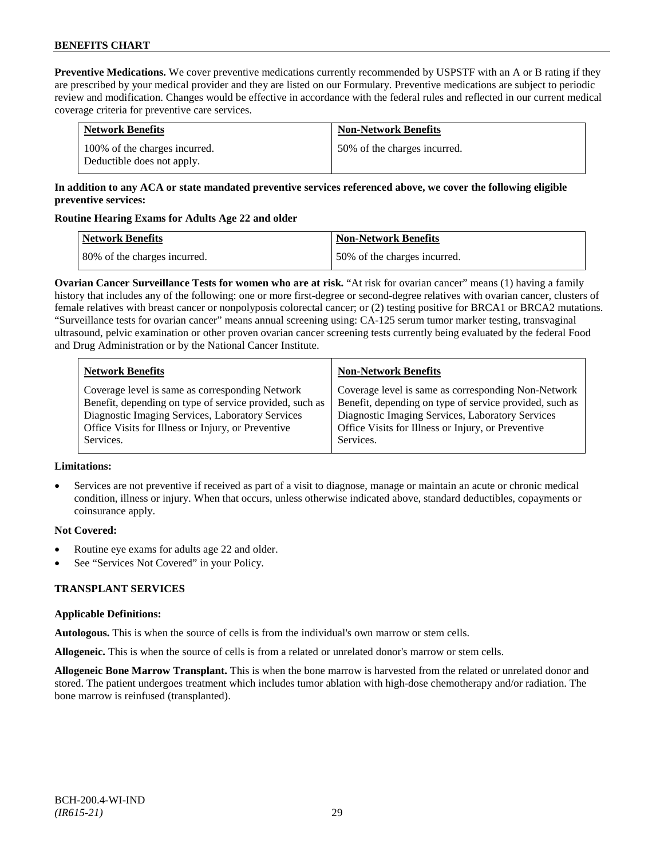**Preventive Medications.** We cover preventive medications currently recommended by USPSTF with an A or B rating if they are prescribed by your medical provider and they are listed on our Formulary. Preventive medications are subject to periodic review and modification. Changes would be effective in accordance with the federal rules and reflected in our current medical coverage criteria for preventive care services.

| <b>Network Benefits</b>                                     | <b>Non-Network Benefits</b>  |
|-------------------------------------------------------------|------------------------------|
| 100% of the charges incurred.<br>Deductible does not apply. | 50% of the charges incurred. |

## **In addition to any ACA or state mandated preventive services referenced above, we cover the following eligible preventive services:**

## **Routine Hearing Exams for Adults Age 22 and older**

| Network Benefits             | <b>Non-Network Benefits</b>  |
|------------------------------|------------------------------|
| 80% of the charges incurred. | 50% of the charges incurred. |

**Ovarian Cancer Surveillance Tests for women who are at risk.** "At risk for ovarian cancer" means (1) having a family history that includes any of the following: one or more first-degree or second-degree relatives with ovarian cancer, clusters of female relatives with breast cancer or nonpolyposis colorectal cancer; or (2) testing positive for BRCA1 or BRCA2 mutations. "Surveillance tests for ovarian cancer" means annual screening using: CA-125 serum tumor marker testing, transvaginal ultrasound, pelvic examination or other proven ovarian cancer screening tests currently being evaluated by the federal Food and Drug Administration or by the National Cancer Institute.

| <b>Network Benefits</b>                                 | <b>Non-Network Benefits</b>                             |
|---------------------------------------------------------|---------------------------------------------------------|
| Coverage level is same as corresponding Network         | Coverage level is same as corresponding Non-Network     |
| Benefit, depending on type of service provided, such as | Benefit, depending on type of service provided, such as |
| Diagnostic Imaging Services, Laboratory Services        | Diagnostic Imaging Services, Laboratory Services        |
| Office Visits for Illness or Injury, or Preventive      | Office Visits for Illness or Injury, or Preventive      |
| Services.                                               | Services.                                               |

## **Limitations:**

• Services are not preventive if received as part of a visit to diagnose, manage or maintain an acute or chronic medical condition, illness or injury. When that occurs, unless otherwise indicated above, standard deductibles, copayments or coinsurance apply.

## **Not Covered:**

- Routine eye exams for adults age 22 and older.
- See "Services Not Covered" in your Policy.

## **TRANSPLANT SERVICES**

## **Applicable Definitions:**

**Autologous.** This is when the source of cells is from the individual's own marrow or stem cells.

**Allogeneic.** This is when the source of cells is from a related or unrelated donor's marrow or stem cells.

**Allogeneic Bone Marrow Transplant.** This is when the bone marrow is harvested from the related or unrelated donor and stored. The patient undergoes treatment which includes tumor ablation with high-dose chemotherapy and/or radiation. The bone marrow is reinfused (transplanted).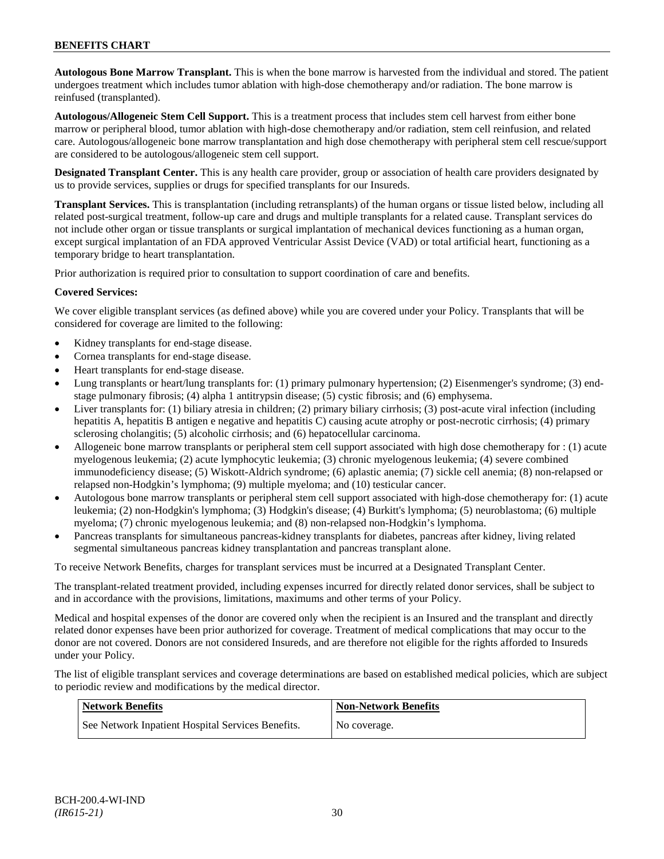**Autologous Bone Marrow Transplant.** This is when the bone marrow is harvested from the individual and stored. The patient undergoes treatment which includes tumor ablation with high-dose chemotherapy and/or radiation. The bone marrow is reinfused (transplanted).

**Autologous/Allogeneic Stem Cell Support.** This is a treatment process that includes stem cell harvest from either bone marrow or peripheral blood, tumor ablation with high-dose chemotherapy and/or radiation, stem cell reinfusion, and related care. Autologous/allogeneic bone marrow transplantation and high dose chemotherapy with peripheral stem cell rescue/support are considered to be autologous/allogeneic stem cell support.

**Designated Transplant Center.** This is any health care provider, group or association of health care providers designated by us to provide services, supplies or drugs for specified transplants for our Insureds.

**Transplant Services.** This is transplantation (including retransplants) of the human organs or tissue listed below, including all related post-surgical treatment, follow-up care and drugs and multiple transplants for a related cause. Transplant services do not include other organ or tissue transplants or surgical implantation of mechanical devices functioning as a human organ, except surgical implantation of an FDA approved Ventricular Assist Device (VAD) or total artificial heart, functioning as a temporary bridge to heart transplantation.

Prior authorization is required prior to consultation to support coordination of care and benefits.

## **Covered Services:**

We cover eligible transplant services (as defined above) while you are covered under your Policy. Transplants that will be considered for coverage are limited to the following:

- Kidney transplants for end-stage disease.
- Cornea transplants for end-stage disease.
- Heart transplants for end-stage disease.
- Lung transplants or heart/lung transplants for: (1) primary pulmonary hypertension; (2) Eisenmenger's syndrome; (3) endstage pulmonary fibrosis; (4) alpha 1 antitrypsin disease; (5) cystic fibrosis; and (6) emphysema.
- Liver transplants for: (1) biliary atresia in children; (2) primary biliary cirrhosis; (3) post-acute viral infection (including hepatitis A, hepatitis B antigen e negative and hepatitis C) causing acute atrophy or post-necrotic cirrhosis; (4) primary sclerosing cholangitis; (5) alcoholic cirrhosis; and (6) hepatocellular carcinoma.
- Allogeneic bone marrow transplants or peripheral stem cell support associated with high dose chemotherapy for : (1) acute myelogenous leukemia; (2) acute lymphocytic leukemia; (3) chronic myelogenous leukemia; (4) severe combined immunodeficiency disease; (5) Wiskott-Aldrich syndrome; (6) aplastic anemia; (7) sickle cell anemia; (8) non-relapsed or relapsed non-Hodgkin's lymphoma; (9) multiple myeloma; and (10) testicular cancer.
- Autologous bone marrow transplants or peripheral stem cell support associated with high-dose chemotherapy for: (1) acute leukemia; (2) non-Hodgkin's lymphoma; (3) Hodgkin's disease; (4) Burkitt's lymphoma; (5) neuroblastoma; (6) multiple myeloma; (7) chronic myelogenous leukemia; and (8) non-relapsed non-Hodgkin's lymphoma.
- Pancreas transplants for simultaneous pancreas-kidney transplants for diabetes, pancreas after kidney, living related segmental simultaneous pancreas kidney transplantation and pancreas transplant alone.

To receive Network Benefits, charges for transplant services must be incurred at a Designated Transplant Center.

The transplant-related treatment provided, including expenses incurred for directly related donor services, shall be subject to and in accordance with the provisions, limitations, maximums and other terms of your Policy.

Medical and hospital expenses of the donor are covered only when the recipient is an Insured and the transplant and directly related donor expenses have been prior authorized for coverage. Treatment of medical complications that may occur to the donor are not covered. Donors are not considered Insureds, and are therefore not eligible for the rights afforded to Insureds under your Policy.

The list of eligible transplant services and coverage determinations are based on established medical policies, which are subject to periodic review and modifications by the medical director.

| Network Benefits                                  | <b>Non-Network Benefits</b> |
|---------------------------------------------------|-----------------------------|
| See Network Inpatient Hospital Services Benefits. | No coverage.                |